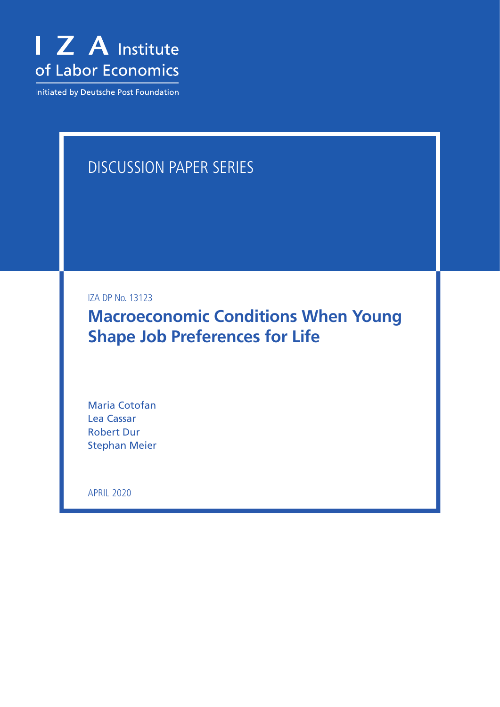

Initiated by Deutsche Post Foundation

# DISCUSSION PAPER SERIES

IZA DP No. 13123

**Macroeconomic Conditions When Young Shape Job Preferences for Life**

Maria Cotofan Lea Cassar Robert Dur Stephan Meier

APRIL 2020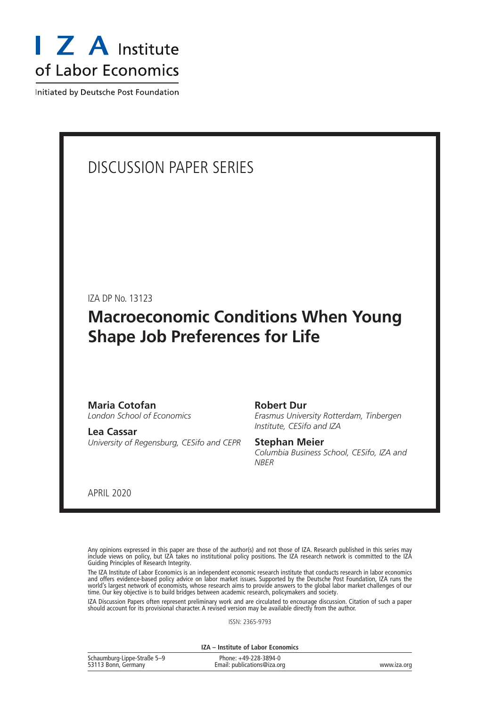

Initiated by Deutsche Post Foundation

# DISCUSSION PAPER SERIES

IZA DP No. 13123

# **Macroeconomic Conditions When Young Shape Job Preferences for Life**

#### **Maria Cotofan** *London School of Economics*

**Lea Cassar** *University of Regensburg, CESifo and CEPR* **Robert Dur**

*Erasmus University Rotterdam, Tinbergen Institute, CESifo and IZA*

## **Stephan Meier**

*Columbia Business School, CESifo, IZA and NBER*

APRIL 2020

Any opinions expressed in this paper are those of the author(s) and not those of IZA. Research published in this series may include views on policy, but IZA takes no institutional policy positions. The IZA research network is committed to the IZA Guiding Principles of Research Integrity.

The IZA Institute of Labor Economics is an independent economic research institute that conducts research in labor economics and offers evidence-based policy advice on labor market issues. Supported by the Deutsche Post Foundation, IZA runs the world's largest network of economists, whose research aims to provide answers to the global labor market challenges of our time. Our key objective is to build bridges between academic research, policymakers and society.

IZA Discussion Papers often represent preliminary work and are circulated to encourage discussion. Citation of such a paper should account for its provisional character. A revised version may be available directly from the author.

ISSN: 2365-9793

**IZA – Institute of Labor Economics**

| Schaumburg-Lippe-Straße 5-9 | Phone: +49-228-3894-0       |             |
|-----------------------------|-----------------------------|-------------|
| 53113 Bonn, Germany         | Email: publications@iza.org | www.iza.org |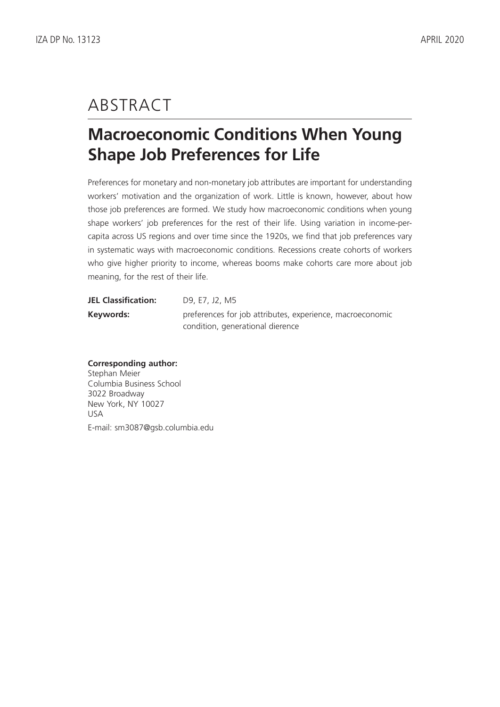# ABSTRACT

# **Macroeconomic Conditions When Young Shape Job Preferences for Life**

Preferences for monetary and non-monetary job attributes are important for understanding workers' motivation and the organization of work. Little is known, however, about how those job preferences are formed. We study how macroeconomic conditions when young shape workers' job preferences for the rest of their life. Using variation in income-percapita across US regions and over time since the 1920s, we find that job preferences vary in systematic ways with macroeconomic conditions. Recessions create cohorts of workers who give higher priority to income, whereas booms make cohorts care more about job meaning, for the rest of their life.

| <b>JEL Classification:</b> | D9, E7, J2, M5                                            |
|----------------------------|-----------------------------------------------------------|
| Keywords:                  | preferences for job attributes, experience, macroeconomic |
|                            | condition, generational dierence                          |

### **Corresponding author:**

Stephan Meier Columbia Business School 3022 Broadway New York, NY 10027 USA E-mail: sm3087@gsb.columbia.edu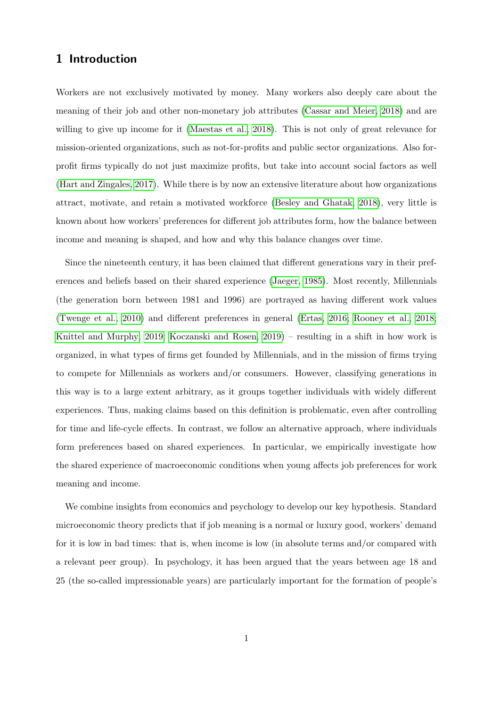## 1 Introduction

Workers are not exclusively motivated by money. Many workers also deeply care about the meaning of their job and other non-monetary job attributes [\(Cassar and Meier, 2018\)](#page-14-0) and are willing to give up income for it [\(Maestas et al., 2018\)](#page-15-0). This is not only of great relevance for mission-oriented organizations, such as not-for-profits and public sector organizations. Also forprofit firms typically do not just maximize profits, but take into account social factors as well [\(Hart and Zingales, 2017\)](#page-15-1). While there is by now an extensive literature about how organizations attract, motivate, and retain a motivated workforce [\(Besley and Ghatak, 2018\)](#page-14-1), very little is known about how workers' preferences for different job attributes form, how the balance between income and meaning is shaped, and how and why this balance changes over time.

Since the nineteenth century, it has been claimed that different generations vary in their preferences and beliefs based on their shared experience [\(Jaeger, 1985\)](#page-15-2). Most recently, Millennials (the generation born between 1981 and 1996) are portrayed as having different work values [\(Twenge et al., 2010\)](#page-16-0) and different preferences in general [\(Ertas, 2016;](#page-14-2) [Rooney et al., 2018;](#page-16-1) [Knittel and Murphy, 2019;](#page-15-3) [Koczanski and Rosen, 2019\)](#page-15-4) – resulting in a shift in how work is organized, in what types of firms get founded by Millennials, and in the mission of firms trying to compete for Millennials as workers and/or consumers. However, classifying generations in this way is to a large extent arbitrary, as it groups together individuals with widely different experiences. Thus, making claims based on this definition is problematic, even after controlling for time and life-cycle effects. In contrast, we follow an alternative approach, where individuals form preferences based on shared experiences. In particular, we empirically investigate how the shared experience of macroeconomic conditions when young affects job preferences for work meaning and income.

We combine insights from economics and psychology to develop our key hypothesis. Standard microeconomic theory predicts that if job meaning is a normal or luxury good, workers' demand for it is low in bad times: that is, when income is low (in absolute terms and/or compared with a relevant peer group). In psychology, it has been argued that the years between age 18 and 25 (the so-called impressionable years) are particularly important for the formation of people's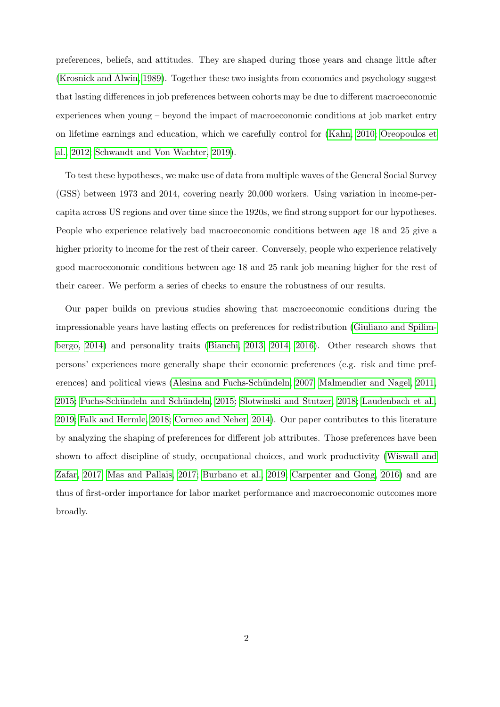preferences, beliefs, and attitudes. They are shaped during those years and change little after [\(Krosnick and Alwin, 1989\)](#page-15-5). Together these two insights from economics and psychology suggest that lasting differences in job preferences between cohorts may be due to different macroeconomic experiences when young – beyond the impact of macroeconomic conditions at job market entry on lifetime earnings and education, which we carefully control for [\(Kahn, 2010;](#page-15-6) [Oreopoulos et](#page-16-2) [al., 2012;](#page-16-2) [Schwandt and Von Wachter, 2019\)](#page-16-3).

To test these hypotheses, we make use of data from multiple waves of the General Social Survey (GSS) between 1973 and 2014, covering nearly 20,000 workers. Using variation in income-percapita across US regions and over time since the 1920s, we find strong support for our hypotheses. People who experience relatively bad macroeconomic conditions between age 18 and 25 give a higher priority to income for the rest of their career. Conversely, people who experience relatively good macroeconomic conditions between age 18 and 25 rank job meaning higher for the rest of their career. We perform a series of checks to ensure the robustness of our results.

Our paper builds on previous studies showing that macroeconomic conditions during the impressionable years have lasting effects on preferences for redistribution [\(Giuliano and Spilim](#page-15-7)[bergo, 2014\)](#page-15-7) and personality traits [\(Bianchi, 2013,](#page-14-3) [2014,](#page-14-4) [2016\)](#page-14-5). Other research shows that persons' experiences more generally shape their economic preferences (e.g. risk and time pref-erences) and political views (Alesina and Fuchs-Schündeln, 2007; [Malmendier and Nagel, 2011,](#page-15-8) [2015;](#page-16-4) [Fuchs-Sch¨undeln and Sch¨undeln, 2015;](#page-15-9) [Slotwinski and Stutzer, 2018;](#page-16-5) [Laudenbach et al.,](#page-15-10) [2019;](#page-15-10) [Falk and Hermle, 2018;](#page-15-11) [Corneo and Neher, 2014\)](#page-14-7). Our paper contributes to this literature by analyzing the shaping of preferences for different job attributes. Those preferences have been shown to affect discipline of study, occupational choices, and work productivity [\(Wiswall and](#page-16-6) [Zafar, 2017;](#page-16-6) [Mas and Pallais, 2017;](#page-16-7) [Burbano et al., 2019;](#page-14-8) [Carpenter and Gong, 2016\)](#page-14-9) and are thus of first-order importance for labor market performance and macroeconomic outcomes more broadly.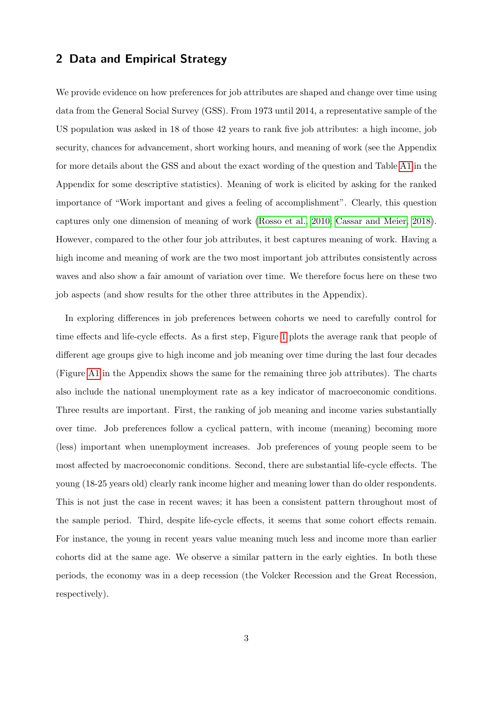### 2 Data and Empirical Strategy

We provide evidence on how preferences for job attributes are shaped and change over time using data from the General Social Survey (GSS). From 1973 until 2014, a representative sample of the US population was asked in 18 of those 42 years to rank five job attributes: a high income, job security, chances for advancement, short working hours, and meaning of work (see the Appendix for more details about the GSS and about the exact wording of the question and Table [A1](#page-9-0) in the Appendix for some descriptive statistics). Meaning of work is elicited by asking for the ranked importance of "Work important and gives a feeling of accomplishment". Clearly, this question captures only one dimension of meaning of work [\(Rosso et al., 2010;](#page-16-8) [Cassar and Meier, 2018\)](#page-14-0). However, compared to the other four job attributes, it best captures meaning of work. Having a high income and meaning of work are the two most important job attributes consistently across waves and also show a fair amount of variation over time. We therefore focus here on these two job aspects (and show results for the other three attributes in the Appendix).

In exploring differences in job preferences between cohorts we need to carefully control for time effects and life-cycle effects. As a first step, Figure [1](#page-6-0) plots the average rank that people of different age groups give to high income and job meaning over time during the last four decades (Figure [A1](#page-6-0) in the Appendix shows the same for the remaining three job attributes). The charts also include the national unemployment rate as a key indicator of macroeconomic conditions. Three results are important. First, the ranking of job meaning and income varies substantially over time. Job preferences follow a cyclical pattern, with income (meaning) becoming more (less) important when unemployment increases. Job preferences of young people seem to be most affected by macroeconomic conditions. Second, there are substantial life-cycle effects. The young (18-25 years old) clearly rank income higher and meaning lower than do older respondents. This is not just the case in recent waves; it has been a consistent pattern throughout most of the sample period. Third, despite life-cycle effects, it seems that some cohort effects remain. For instance, the young in recent years value meaning much less and income more than earlier cohorts did at the same age. We observe a similar pattern in the early eighties. In both these periods, the economy was in a deep recession (the Volcker Recession and the Great Recession, respectively).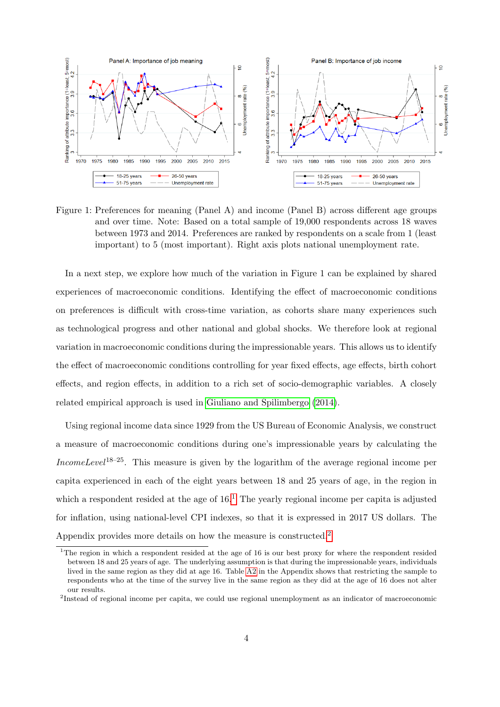

<span id="page-6-0"></span>Figure 1: Preferences for meaning (Panel A) and income (Panel B) across different age groups and over time. Note: Based on a total sample of 19,000 respondents across 18 waves between 1973 and 2014. Preferences are ranked by respondents on a scale from 1 (least important) to 5 (most important). Right axis plots national unemployment rate.

In a next step, we explore how much of the variation in Figure 1 can be explained by shared experiences of macroeconomic conditions. Identifying the effect of macroeconomic conditions on preferences is difficult with cross-time variation, as cohorts share many experiences such as technological progress and other national and global shocks. We therefore look at regional variation in macroeconomic conditions during the impressionable years. This allows us to identify the effect of macroeconomic conditions controlling for year fixed effects, age effects, birth cohort effects, and region effects, in addition to a rich set of socio-demographic variables. A closely related empirical approach is used in [Giuliano and Spilimbergo](#page-15-7) [\(2014\)](#page-15-7).

Using regional income data since 1929 from the US Bureau of Economic Analysis, we construct a measure of macroeconomic conditions during one's impressionable years by calculating the IncomeLevel<sup>18–25</sup>. This measure is given by the logarithm of the average regional income per capita experienced in each of the eight years between 18 and 25 years of age, in the region in which a respondent resided at the age of  $16<sup>1</sup>$  $16<sup>1</sup>$ . The yearly regional income per capita is adjusted for inflation, using national-level CPI indexes, so that it is expressed in 2017 US dollars. The Appendix provides more details on how the measure is constructed.[2](#page--1-0)

<sup>&</sup>lt;sup>1</sup>The region in which a respondent resided at the age of 16 is our best proxy for where the respondent resided between 18 and 25 years of age. The underlying assumption is that during the impressionable years, individuals lived in the same region as they did at age 16. Table [A2](#page-12-0) in the Appendix shows that restricting the sample to respondents who at the time of the survey live in the same region as they did at the age of 16 does not alter our results.

<sup>&</sup>lt;sup>2</sup>Instead of regional income per capita, we could use regional unemployment as an indicator of macroeconomic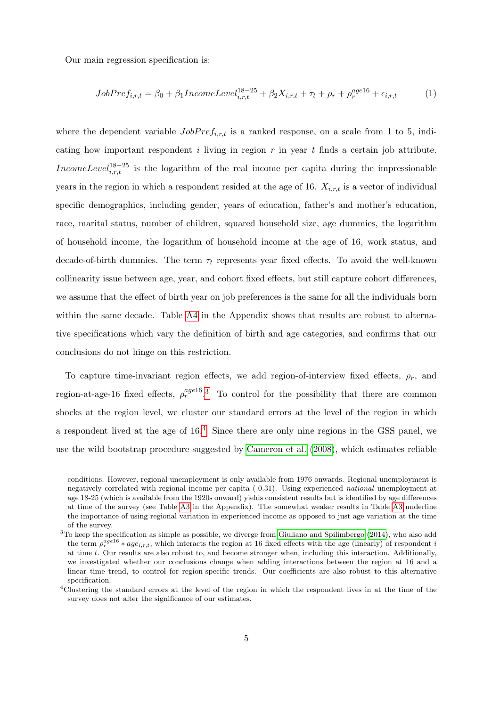Our main regression specification is:

$$
JobPref_{i,r,t} = \beta_0 + \beta_1 IncomeLevel_{i,r,t}^{18-25} + \beta_2 X_{i,r,t} + \tau_t + \rho_r + \rho_r^{age16} + \epsilon_{i,r,t}
$$
 (1)

where the dependent variable  $JobPref_{i,r,t}$  is a ranked response, on a scale from 1 to 5, indicating how important respondent i living in region  $r$  in year  $t$  finds a certain job attribute. IncomeLevel<sup>18–25</sup> is the logarithm of the real income per capita during the impressionable years in the region in which a respondent resided at the age of 16.  $X_{i,r,t}$  is a vector of individual specific demographics, including gender, years of education, father's and mother's education, race, marital status, number of children, squared household size, age dummies, the logarithm of household income, the logarithm of household income at the age of 16, work status, and decade-of-birth dummies. The term  $\tau_t$  represents year fixed effects. To avoid the well-known collinearity issue between age, year, and cohort fixed effects, but still capture cohort differences, we assume that the effect of birth year on job preferences is the same for all the individuals born within the same decade. Table [A4](#page-31-0) in the Appendix shows that results are robust to alternative specifications which vary the definition of birth and age categories, and confirms that our conclusions do not hinge on this restriction.

To capture time-invariant region effects, we add region-of-interview fixed effects,  $\rho_r$ , and region-at-age-16 fixed effects,  $\rho_r^{age16}$ <sup>[3](#page--1-0)</sup> To control for the possibility that there are common shocks at the region level, we cluster our standard errors at the level of the region in which a respondent lived at the age of  $16<sup>4</sup>$  $16<sup>4</sup>$  $16<sup>4</sup>$ . Since there are only nine regions in the GSS panel, we use the wild bootstrap procedure suggested by [Cameron et al.](#page-14-10) [\(2008\)](#page-14-10), which estimates reliable

conditions. However, regional unemployment is only available from 1976 onwards. Regional unemployment is negatively correlated with regional income per capita (-0.31). Using experienced national unemployment at age 18-25 (which is available from the 1920s onward) yields consistent results but is identified by age differences at time of the survey (see Table [A3](#page-30-0) in the Appendix). The somewhat weaker results in Table [A3](#page-30-0) underline the importance of using regional variation in experienced income as opposed to just age variation at the time of the survey.

<sup>&</sup>lt;sup>3</sup>To keep the specification as simple as possible, we diverge from [Giuliano and Spilimbergo](#page-15-7) [\(2014\)](#page-15-7), who also add the term  $\rho_r^{age16} * age_{i,r,t}$ , which interacts the region at 16 fixed effects with the age (linearly) of respondent i at time t. Our results are also robust to, and become stronger when, including this interaction. Additionally, we investigated whether our conclusions change when adding interactions between the region at 16 and a linear time trend, to control for region-specific trends. Our coefficients are also robust to this alternative specification.

<sup>4</sup>Clustering the standard errors at the level of the region in which the respondent lives in at the time of the survey does not alter the significance of our estimates.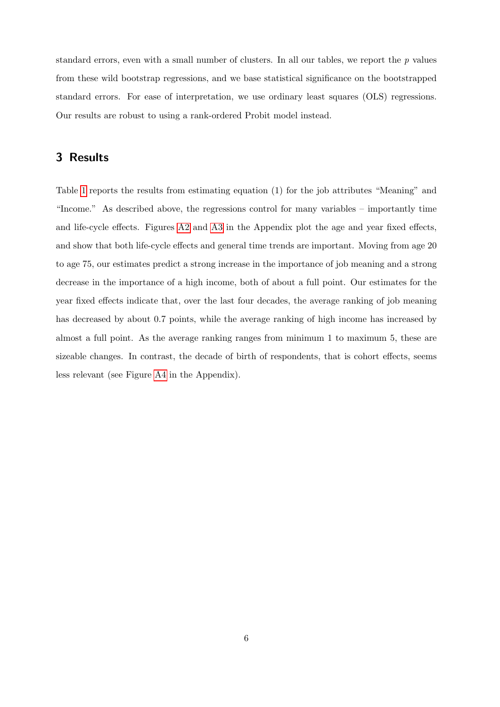standard errors, even with a small number of clusters. In all our tables, we report the  $p$  values from these wild bootstrap regressions, and we base statistical significance on the bootstrapped standard errors. For ease of interpretation, we use ordinary least squares (OLS) regressions. Our results are robust to using a rank-ordered Probit model instead.

## 3 Results

Table [1](#page-9-0) reports the results from estimating equation (1) for the job attributes "Meaning" and "Income." As described above, the regressions control for many variables – importantly time and life-cycle effects. Figures [A2](#page-24-0) and [A3](#page-24-1) in the Appendix plot the age and year fixed effects, and show that both life-cycle effects and general time trends are important. Moving from age 20 to age 75, our estimates predict a strong increase in the importance of job meaning and a strong decrease in the importance of a high income, both of about a full point. Our estimates for the year fixed effects indicate that, over the last four decades, the average ranking of job meaning has decreased by about 0.7 points, while the average ranking of high income has increased by almost a full point. As the average ranking ranges from minimum 1 to maximum 5, these are sizeable changes. In contrast, the decade of birth of respondents, that is cohort effects, seems less relevant (see Figure [A4](#page-25-0) in the Appendix).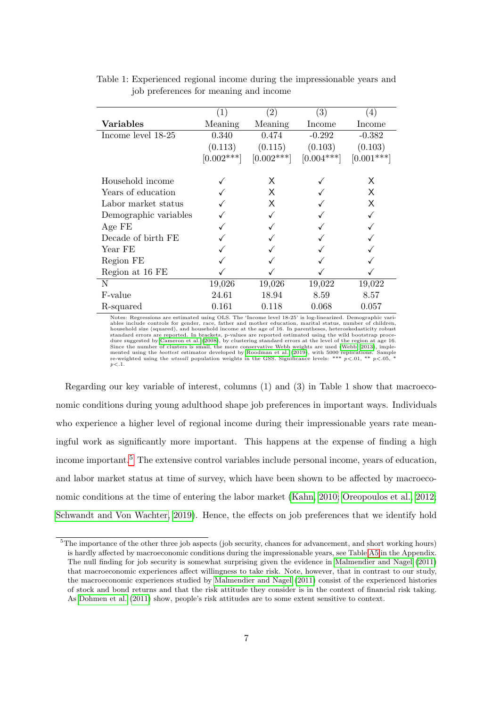|                       | (1)          | (2)          | (3)          | (4)          |
|-----------------------|--------------|--------------|--------------|--------------|
| <b>Variables</b>      | Meaning      | Meaning      | Income       | Income       |
| Income level 18-25    | 0.340        | 0.474        | $-0.292$     | $-0.382$     |
|                       | (0.113)      | (0.115)      | (0.103)      | (0.103)      |
|                       | $[0.002***]$ | $[0.002***]$ | $[0.004***]$ | $[0.001***]$ |
| Household income      |              | X            |              | X            |
| Years of education    |              | X            |              | X            |
| Labor market status   |              | Χ            |              | X            |
| Demographic variables |              |              |              |              |
| Age FE                |              |              |              |              |
| Decade of birth FE    |              |              |              |              |
| Year FE               |              |              |              |              |
| Region FE             |              |              |              |              |
| Region at 16 FE       |              |              |              |              |
| N                     | 19,026       | 19,026       | 19,022       | 19,022       |
| F-value               | 24.61        | 18.94        | 8.59         | 8.57         |
| R-squared             | 0.161        | 0.118        | 0.068        | 0.057        |

<span id="page-9-0"></span>Table 1: Experienced regional income during the impressionable years and job preferences for meaning and income

Notes: Regressions are estimated using OLS. The 'Income level 18-25' is log-linearized. Demographic vari-ables include controls for gender, race, father and mother education, marital status, number of children, household size (squared), and household income at the age of 16. In parentheses, heteroskedasticity robust standard errors are reported. In brackets, p-values are reported estimated using the wild bootstrap proce-<br>dure suggested by [Cameron et al.](#page-14-10) [\(2008\)](#page-14-10), by clustering standard errors at the level of the region at age 16.<br>Since mented using the *boottest* estimator developed by [Roodman et al.](#page-16-10) [\(2019\)](#page-16-10), with 5000 replications. Sample re-weighted using the *wtssall* population weights in the GSS. Significance levels: \*\*\*  $p < 0.01$ , \*\*  $p < 0.05$ , \*  $p < 1$ 

Regarding our key variable of interest, columns (1) and (3) in Table 1 show that macroeconomic conditions during young adulthood shape job preferences in important ways. Individuals who experience a higher level of regional income during their impressionable years rate meaningful work as significantly more important. This happens at the expense of finding a high income important.<sup>[5](#page--1-0)</sup> The extensive control variables include personal income, years of education, and labor market status at time of survey, which have been shown to be affected by macroeconomic conditions at the time of entering the labor market [\(Kahn, 2010;](#page-15-6) [Oreopoulos et al., 2012;](#page-16-2) [Schwandt and Von Wachter, 2019\)](#page-16-3). Hence, the effects on job preferences that we identify hold

<sup>&</sup>lt;sup>5</sup>The importance of the other three job aspects (job security, chances for advancement, and short working hours) is hardly affected by macroeconomic conditions during the impressionable years, see Table [A5](#page-32-0) in the Appendix. The null finding for job security is somewhat surprising given the evidence in [Malmendier and Nagel](#page-15-8) [\(2011\)](#page-15-8) that macroeconomic experiences affect willingness to take risk. Note, however, that in contrast to our study, the macroeconomic experiences studied by [Malmendier and Nagel](#page-15-8) [\(2011\)](#page-15-8) consist of the experienced histories of stock and bond returns and that the risk attitude they consider is in the context of financial risk taking. As [Dohmen et al.](#page-14-11) [\(2011\)](#page-14-11) show, people's risk attitudes are to some extent sensitive to context.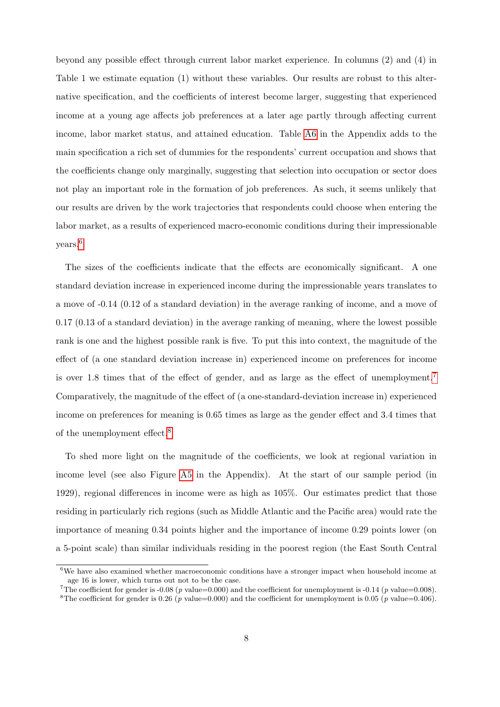beyond any possible effect through current labor market experience. In columns (2) and (4) in Table 1 we estimate equation (1) without these variables. Our results are robust to this alternative specification, and the coefficients of interest become larger, suggesting that experienced income at a young age affects job preferences at a later age partly through affecting current income, labor market status, and attained education. Table [A6](#page-33-0) in the Appendix adds to the main specification a rich set of dummies for the respondents' current occupation and shows that the coefficients change only marginally, suggesting that selection into occupation or sector does not play an important role in the formation of job preferences. As such, it seems unlikely that our results are driven by the work trajectories that respondents could choose when entering the labor market, as a results of experienced macro-economic conditions during their impressionable years.[6](#page--1-0)

The sizes of the coefficients indicate that the effects are economically significant. A one standard deviation increase in experienced income during the impressionable years translates to a move of -0.14 (0.12 of a standard deviation) in the average ranking of income, and a move of 0.17 (0.13 of a standard deviation) in the average ranking of meaning, where the lowest possible rank is one and the highest possible rank is five. To put this into context, the magnitude of the effect of (a one standard deviation increase in) experienced income on preferences for income is over 1.8 times that of the effect of gender, and as large as the effect of unemployment.[7](#page--1-0) Comparatively, the magnitude of the effect of (a one-standard-deviation increase in) experienced income on preferences for meaning is 0.65 times as large as the gender effect and 3.4 times that of the unemployment effect.[8](#page--1-0)

To shed more light on the magnitude of the coefficients, we look at regional variation in income level (see also Figure [A5](#page-26-0) in the Appendix). At the start of our sample period (in 1929), regional differences in income were as high as 105%. Our estimates predict that those residing in particularly rich regions (such as Middle Atlantic and the Pacific area) would rate the importance of meaning 0.34 points higher and the importance of income 0.29 points lower (on a 5-point scale) than similar individuals residing in the poorest region (the East South Central

<sup>6</sup>We have also examined whether macroeconomic conditions have a stronger impact when household income at age 16 is lower, which turns out not to be the case.

<sup>&</sup>lt;sup>7</sup>The coefficient for gender is -0.08 (p value=0.000) and the coefficient for unemployment is -0.14 (p value=0.008).

<sup>&</sup>lt;sup>8</sup>The coefficient for gender is 0.26 (p value=0.000) and the coefficient for unemployment is 0.05 (p value=0.406).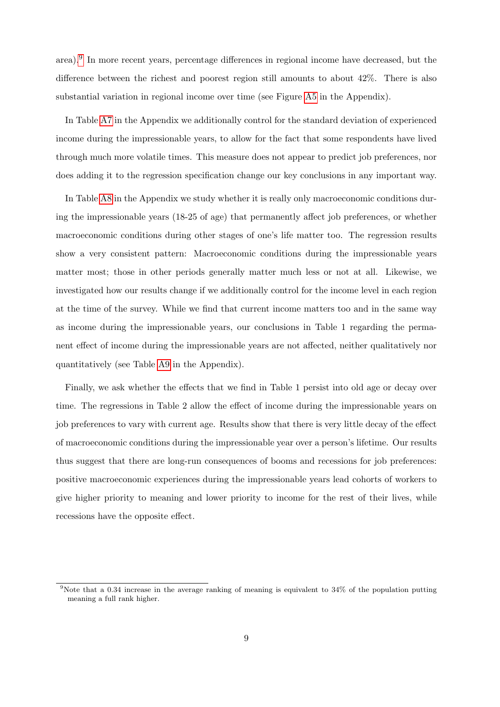area).[9](#page--1-0) In more recent years, percentage differences in regional income have decreased, but the difference between the richest and poorest region still amounts to about 42%. There is also substantial variation in regional income over time (see Figure [A5](#page-26-0) in the Appendix).

In Table [A7](#page-34-0) in the Appendix we additionally control for the standard deviation of experienced income during the impressionable years, to allow for the fact that some respondents have lived through much more volatile times. This measure does not appear to predict job preferences, nor does adding it to the regression specification change our key conclusions in any important way.

In Table [A8](#page-36-0) in the Appendix we study whether it is really only macroeconomic conditions during the impressionable years (18-25 of age) that permanently affect job preferences, or whether macroeconomic conditions during other stages of one's life matter too. The regression results show a very consistent pattern: Macroeconomic conditions during the impressionable years matter most; those in other periods generally matter much less or not at all. Likewise, we investigated how our results change if we additionally control for the income level in each region at the time of the survey. While we find that current income matters too and in the same way as income during the impressionable years, our conclusions in Table 1 regarding the permanent effect of income during the impressionable years are not affected, neither qualitatively nor quantitatively (see Table [A9](#page-37-0) in the Appendix).

Finally, we ask whether the effects that we find in Table 1 persist into old age or decay over time. The regressions in Table 2 allow the effect of income during the impressionable years on job preferences to vary with current age. Results show that there is very little decay of the effect of macroeconomic conditions during the impressionable year over a person's lifetime. Our results thus suggest that there are long-run consequences of booms and recessions for job preferences: positive macroeconomic experiences during the impressionable years lead cohorts of workers to give higher priority to meaning and lower priority to income for the rest of their lives, while recessions have the opposite effect.

<sup>&</sup>lt;sup>9</sup>Note that a 0.34 increase in the average ranking of meaning is equivalent to  $34\%$  of the population putting meaning a full rank higher.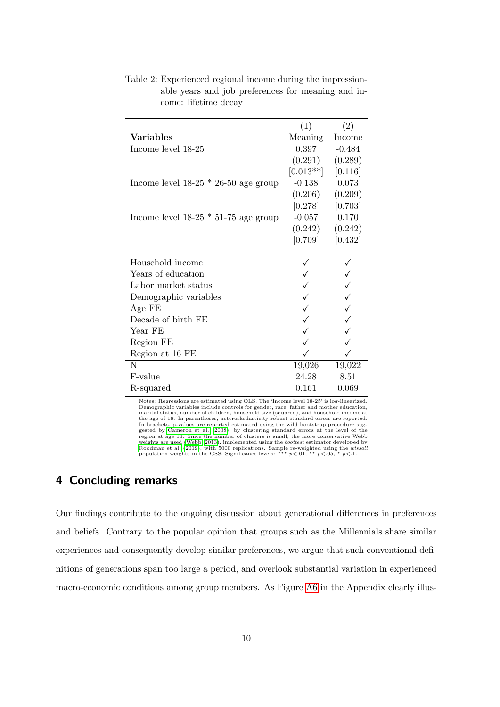|                                        | (1)         | (2)      |
|----------------------------------------|-------------|----------|
| <b>Variables</b>                       | Meaning     | Income   |
| Income level 18-25                     | 0.397       | $-0.484$ |
|                                        | (0.291)     | (0.289)  |
|                                        | $[0.013**]$ | [0.116]  |
| Income level $18-25 * 26-50$ age group | $-0.138$    | 0.073    |
|                                        | (0.206)     | (0.209)  |
|                                        | [0.278]     | [0.703]  |
| Income level $18-25 * 51-75$ age group | $-0.057$    | 0.170    |
|                                        | (0.242)     | (0.242)  |
|                                        | [0.709]     | [0.432]  |
|                                        |             |          |
| Household income                       |             |          |
| Years of education                     |             |          |
| Labor market status                    |             |          |
| Demographic variables                  |             |          |
| Age FE                                 |             |          |
| Decade of birth FE                     |             |          |
| Year FE                                |             |          |
| Region FE                              |             |          |
| Region at 16 FE                        |             |          |
| N                                      | 19,026      | 19,022   |
| F-value                                | 24.28       | 8.51     |
| R-squared                              | 0.161       | 0.069    |

<span id="page-12-0"></span>Table 2: Experienced regional income during the impressionable years and job preferences for meaning and income: lifetime decay

Notes: Regressions are estimated using OLS. The 'Income level 18-25' is log-linearized. Demographic variables include controls for gender, race, father and mother education, marital status, number of children, household size (squared), and household income at the age of 16. In parentheses, heteroskedasticity robust standard errors are reported.<br>In brackets, p-values are reported estimated using the wild bootstrap procedure suggested by [Cameron et al.](#page-14-10) [\(2008\)](#page-14-10), by clustering stand weights are used [\(Webb, 2013\)](#page-16-9), implemented using the *boottest* estimator developed by [Roodman et al.](#page-16-10) [\(2019\)](#page-16-10), with 5000 replications. Sample re-weighted using the *wtssali* population weights in the GSS. Significance levels: \*\*\*  $p<.01$ , \*\*  $p<.05$ , \*  $p<.1$ .

## 4 Concluding remarks

Our findings contribute to the ongoing discussion about generational differences in preferences and beliefs. Contrary to the popular opinion that groups such as the Millennials share similar experiences and consequently develop similar preferences, we argue that such conventional definitions of generations span too large a period, and overlook substantial variation in experienced macro-economic conditions among group members. As Figure [A6](#page-27-0) in the Appendix clearly illus-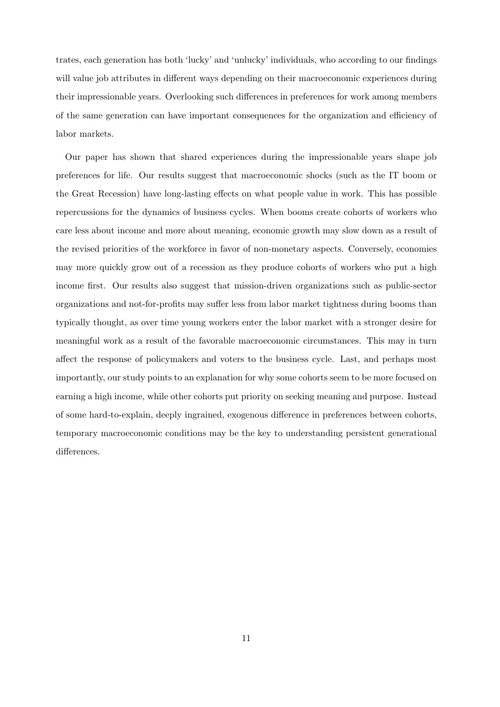trates, each generation has both 'lucky' and 'unlucky' individuals, who according to our findings will value job attributes in different ways depending on their macroeconomic experiences during their impressionable years. Overlooking such differences in preferences for work among members of the same generation can have important consequences for the organization and efficiency of labor markets.

Our paper has shown that shared experiences during the impressionable years shape job preferences for life. Our results suggest that macroeconomic shocks (such as the IT boom or the Great Recession) have long-lasting effects on what people value in work. This has possible repercussions for the dynamics of business cycles. When booms create cohorts of workers who care less about income and more about meaning, economic growth may slow down as a result of the revised priorities of the workforce in favor of non-monetary aspects. Conversely, economies may more quickly grow out of a recession as they produce cohorts of workers who put a high income first. Our results also suggest that mission-driven organizations such as public-sector organizations and not-for-profits may suffer less from labor market tightness during booms than typically thought, as over time young workers enter the labor market with a stronger desire for meaningful work as a result of the favorable macroeconomic circumstances. This may in turn affect the response of policymakers and voters to the business cycle. Last, and perhaps most importantly, our study points to an explanation for why some cohorts seem to be more focused on earning a high income, while other cohorts put priority on seeking meaning and purpose. Instead of some hard-to-explain, deeply ingrained, exogenous difference in preferences between cohorts, temporary macroeconomic conditions may be the key to understanding persistent generational differences.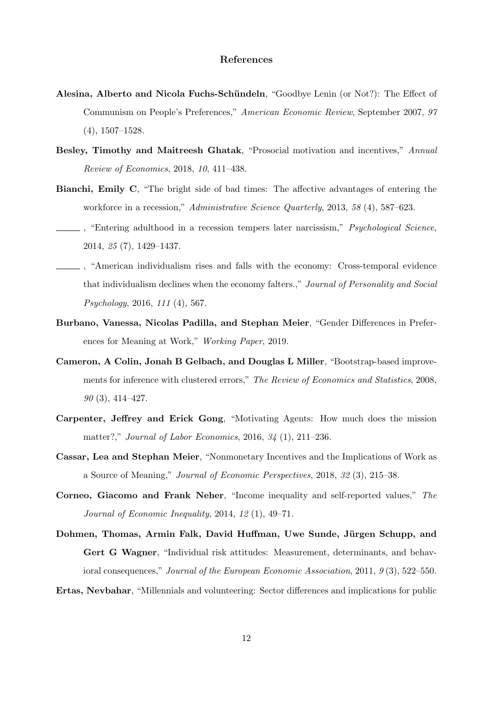#### References

- <span id="page-14-6"></span>Alesina, Alberto and Nicola Fuchs-Schündeln, "Goodbye Lenin (or Not?): The Effect of Communism on People's Preferences," American Economic Review, September 2007, 97 (4), 1507–1528.
- <span id="page-14-1"></span>Besley, Timothy and Maitreesh Ghatak, "Prosocial motivation and incentives," Annual Review of Economics, 2018, 10, 411–438.
- <span id="page-14-3"></span>Bianchi, Emily C, "The bright side of bad times: The affective advantages of entering the workforce in a recession," Administrative Science Quarterly, 2013, 58 (4), 587–623.
- <span id="page-14-4"></span>, "Entering adulthood in a recession tempers later narcissism," *Psychological Science*, 2014, 25 (7), 1429–1437.
- <span id="page-14-5"></span>, "American individualism rises and falls with the economy: Cross-temporal evidence that individualism declines when the economy falters.," Journal of Personality and Social Psychology, 2016, 111 (4), 567.
- <span id="page-14-8"></span>Burbano, Vanessa, Nicolas Padilla, and Stephan Meier, "Gender Differences in Preferences for Meaning at Work," Working Paper, 2019.
- <span id="page-14-10"></span>Cameron, A Colin, Jonah B Gelbach, and Douglas L Miller, "Bootstrap-based improvements for inference with clustered errors," The Review of Economics and Statistics, 2008,  $90(3)$ , 414–427.
- <span id="page-14-9"></span>Carpenter, Jeffrey and Erick Gong, "Motivating Agents: How much does the mission matter?," Journal of Labor Economics, 2016, 34 (1), 211–236.
- <span id="page-14-0"></span>Cassar, Lea and Stephan Meier, "Nonmonetary Incentives and the Implications of Work as a Source of Meaning," Journal of Economic Perspectives, 2018, 32 (3), 215–38.
- <span id="page-14-7"></span>Corneo, Giacomo and Frank Neher, "Income inequality and self-reported values," The Journal of Economic Inequality, 2014, 12 (1), 49–71.
- <span id="page-14-11"></span>Dohmen, Thomas, Armin Falk, David Huffman, Uwe Sunde, Jürgen Schupp, and Gert G Wagner, "Individual risk attitudes: Measurement, determinants, and behavioral consequences," Journal of the European Economic Association, 2011, 9(3), 522–550.

<span id="page-14-2"></span>Ertas, Nevbahar, "Millennials and volunteering: Sector differences and implications for public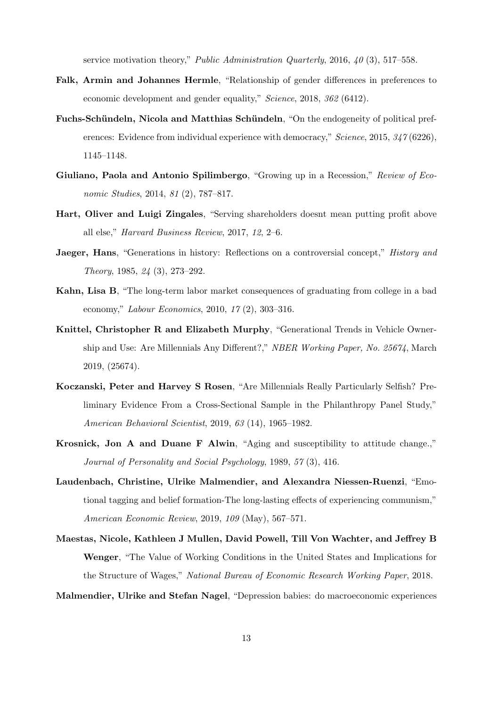service motivation theory," Public Administration Quarterly, 2016, 40 (3), 517–558.

- <span id="page-15-11"></span>Falk, Armin and Johannes Hermle, "Relationship of gender differences in preferences to economic development and gender equality," Science, 2018, 362 (6412).
- <span id="page-15-9"></span>Fuchs-Schündeln, Nicola and Matthias Schündeln, "On the endogeneity of political preferences: Evidence from individual experience with democracy," Science, 2015, 347 (6226), 1145–1148.
- <span id="page-15-7"></span>Giuliano, Paola and Antonio Spilimbergo, "Growing up in a Recession," Review of Economic Studies, 2014, 81 (2), 787–817.
- <span id="page-15-1"></span>Hart, Oliver and Luigi Zingales, "Serving shareholders doesnt mean putting profit above all else," Harvard Business Review, 2017, 12, 2–6.
- <span id="page-15-2"></span>Jaeger, Hans, "Generations in history: Reflections on a controversial concept," *History and* Theory, 1985, 24 (3), 273–292.
- <span id="page-15-6"></span>Kahn, Lisa B, "The long-term labor market consequences of graduating from college in a bad economy," Labour Economics, 2010, 17 (2), 303–316.
- <span id="page-15-3"></span>Knittel, Christopher R and Elizabeth Murphy, "Generational Trends in Vehicle Ownership and Use: Are Millennials Any Different?," NBER Working Paper, No. 25674, March 2019, (25674).
- <span id="page-15-4"></span>Koczanski, Peter and Harvey S Rosen, "Are Millennials Really Particularly Selfish? Preliminary Evidence From a Cross-Sectional Sample in the Philanthropy Panel Study," American Behavioral Scientist, 2019, 63 (14), 1965–1982.
- <span id="page-15-5"></span>Krosnick, Jon A and Duane F Alwin, "Aging and susceptibility to attitude change.," Journal of Personality and Social Psychology, 1989, 57 (3), 416.
- <span id="page-15-10"></span>Laudenbach, Christine, Ulrike Malmendier, and Alexandra Niessen-Ruenzi, "Emotional tagging and belief formation-The long-lasting effects of experiencing communism," American Economic Review, 2019, 109 (May), 567–571.
- <span id="page-15-0"></span>Maestas, Nicole, Kathleen J Mullen, David Powell, Till Von Wachter, and Jeffrey B Wenger, "The Value of Working Conditions in the United States and Implications for the Structure of Wages," National Bureau of Economic Research Working Paper, 2018.

#### <span id="page-15-8"></span>Malmendier, Ulrike and Stefan Nagel, "Depression babies: do macroeconomic experiences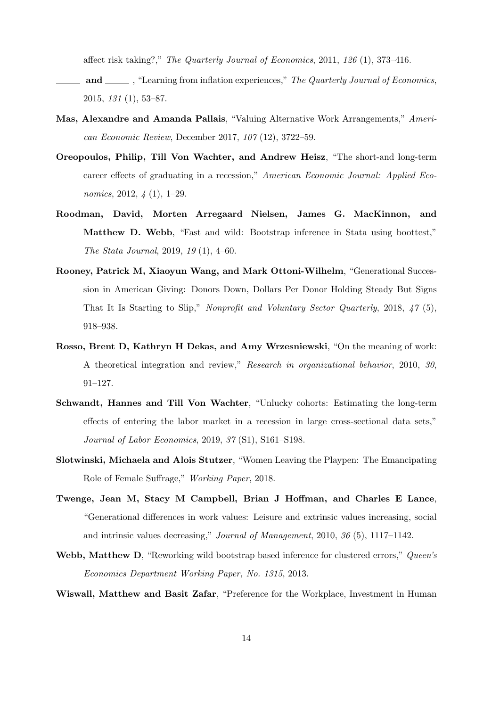affect risk taking?," The Quarterly Journal of Economics, 2011, 126 (1), 373–416.

- <span id="page-16-4"></span> $\Box$  and  $\Box$ , "Learning from inflation experiences," The Quarterly Journal of Economics, 2015, 131 (1), 53–87.
- <span id="page-16-7"></span>Mas, Alexandre and Amanda Pallais, "Valuing Alternative Work Arrangements," American Economic Review, December 2017, 107 (12), 3722–59.
- <span id="page-16-2"></span>Oreopoulos, Philip, Till Von Wachter, and Andrew Heisz, "The short-and long-term career effects of graduating in a recession," American Economic Journal: Applied Economics, 2012, 4 (1), 1–29.
- <span id="page-16-10"></span>Roodman, David, Morten Arregaard Nielsen, James G. MacKinnon, and Matthew D. Webb, "Fast and wild: Bootstrap inference in Stata using boottest," The Stata Journal, 2019, 19 (1), 4–60.
- <span id="page-16-1"></span>Rooney, Patrick M, Xiaoyun Wang, and Mark Ottoni-Wilhelm, "Generational Succession in American Giving: Donors Down, Dollars Per Donor Holding Steady But Signs That It Is Starting to Slip," Nonprofit and Voluntary Sector Quarterly, 2018, 47 (5), 918–938.
- <span id="page-16-8"></span>Rosso, Brent D, Kathryn H Dekas, and Amy Wrzesniewski, "On the meaning of work: A theoretical integration and review," Research in organizational behavior, 2010, 30, 91–127.
- <span id="page-16-3"></span>Schwandt, Hannes and Till Von Wachter, "Unlucky cohorts: Estimating the long-term effects of entering the labor market in a recession in large cross-sectional data sets," Journal of Labor Economics, 2019, 37 (S1), S161–S198.
- <span id="page-16-5"></span>Slotwinski, Michaela and Alois Stutzer, "Women Leaving the Playpen: The Emancipating Role of Female Suffrage," Working Paper, 2018.
- <span id="page-16-0"></span>Twenge, Jean M, Stacy M Campbell, Brian J Hoffman, and Charles E Lance, "Generational differences in work values: Leisure and extrinsic values increasing, social and intrinsic values decreasing," Journal of Management, 2010, 36 (5), 1117–1142.
- <span id="page-16-9"></span>Webb, Matthew D, "Reworking wild bootstrap based inference for clustered errors," Queen's Economics Department Working Paper, No. 1315, 2013.

<span id="page-16-6"></span>Wiswall, Matthew and Basit Zafar, "Preference for the Workplace, Investment in Human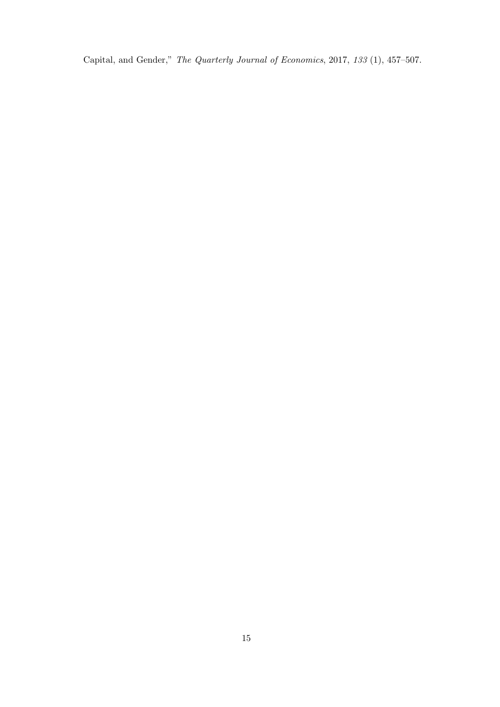Capital, and Gender," The Quarterly Journal of Economics, 2017, 133 (1), 457–507.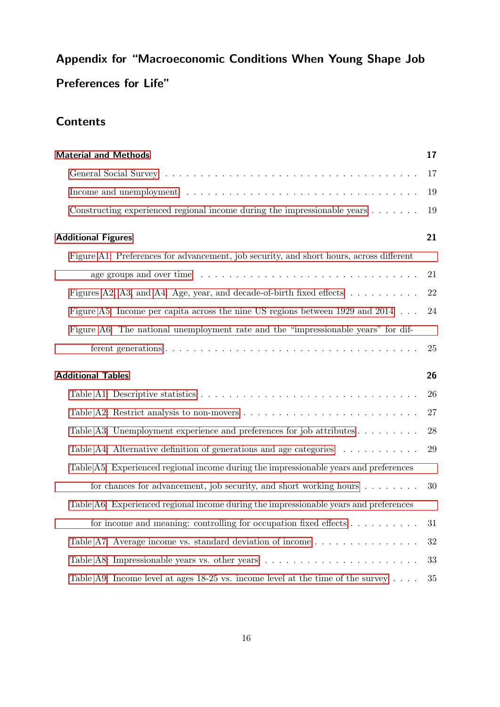# Appendix for "Macroeconomic Conditions When Young Shape Job Preferences for Life"

# **Contents**

| <b>Material and Methods</b>                                                                                   | 17 |
|---------------------------------------------------------------------------------------------------------------|----|
|                                                                                                               | 17 |
| Income and unemployment $\dots \dots \dots \dots \dots \dots \dots \dots \dots \dots \dots \dots \dots \dots$ | 19 |
| Constructing experienced regional income during the impressionable years $\dots \dots$                        | 19 |
| <b>Additional Figures</b>                                                                                     | 21 |
| Figure A1: Preferences for advancement, job security, and short hours, across different                       |    |
|                                                                                                               | 21 |
| Figures A2, A3, and A4: Age, year, and decade-of-birth fixed effects                                          | 22 |
| Figure A5: Income per capita across the nine US regions between 1929 and 2014                                 | 24 |
| Figure A6: The national unemployment rate and the "impressionable years" for dif-                             |    |
|                                                                                                               | 25 |
| <b>Additional Tables</b>                                                                                      | 26 |
|                                                                                                               | 26 |
| Table A2: Restrict analysis to non-movers $\dots \dots \dots \dots \dots \dots \dots \dots \dots \dots$       | 27 |
| Table A3: Unemployment experience and preferences for job attributes $\dots \dots \dots$                      | 28 |
| Table A4: Alternative definition of generations and age categories $\dots \dots \dots$                        | 29 |
| Table A5: Experienced regional income during the impressionable years and preferences                         |    |
| for chances for advancement, job security, and short working hours $\dots \dots$                              | 30 |
| Table A6: Experienced regional income during the impressionable years and preferences                         |    |
| for income and meaning: controlling for occupation fixed effects $\dots \dots \dots$                          | 31 |
| Table A7: Average income vs. standard deviation of income                                                     | 32 |
| Table A8: Impressionable years vs. other years                                                                | 33 |
| Table A9: Income level at ages 18-25 vs. income level at the time of the survey $\dots$ .                     | 35 |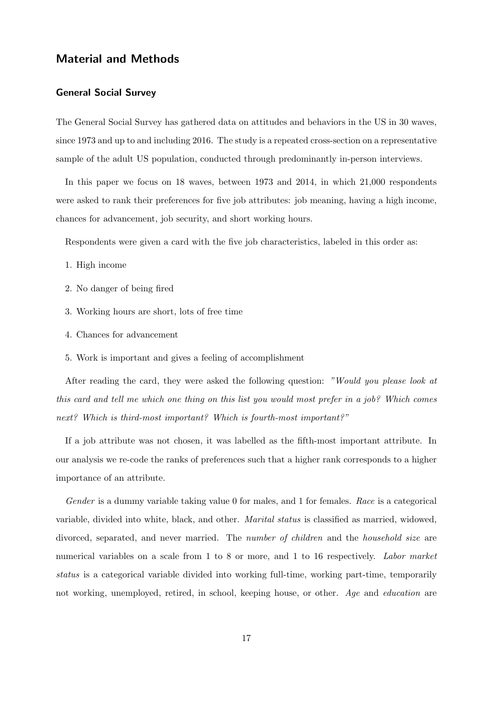### <span id="page-19-0"></span>Material and Methods

#### <span id="page-19-1"></span>General Social Survey

The General Social Survey has gathered data on attitudes and behaviors in the US in 30 waves, since 1973 and up to and including 2016. The study is a repeated cross-section on a representative sample of the adult US population, conducted through predominantly in-person interviews.

In this paper we focus on 18 waves, between 1973 and 2014, in which 21,000 respondents were asked to rank their preferences for five job attributes: job meaning, having a high income, chances for advancement, job security, and short working hours.

Respondents were given a card with the five job characteristics, labeled in this order as:

- 1. High income
- 2. No danger of being fired
- 3. Working hours are short, lots of free time
- 4. Chances for advancement
- 5. Work is important and gives a feeling of accomplishment

After reading the card, they were asked the following question: "Would you please look at this card and tell me which one thing on this list you would most prefer in a job? Which comes next? Which is third-most important? Which is fourth-most important?"

If a job attribute was not chosen, it was labelled as the fifth-most important attribute. In our analysis we re-code the ranks of preferences such that a higher rank corresponds to a higher importance of an attribute.

Gender is a dummy variable taking value 0 for males, and 1 for females. Race is a categorical variable, divided into white, black, and other. Marital status is classified as married, widowed, divorced, separated, and never married. The *number of children* and the *household size* are numerical variables on a scale from 1 to 8 or more, and 1 to 16 respectively. Labor market status is a categorical variable divided into working full-time, working part-time, temporarily not working, unemployed, retired, in school, keeping house, or other. Age and education are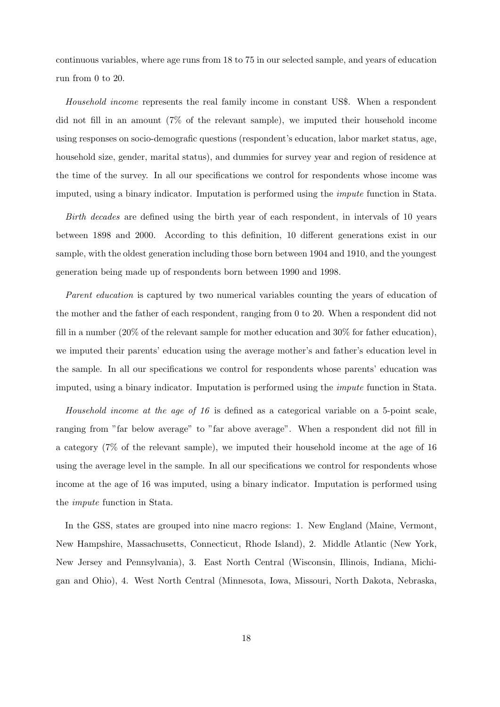continuous variables, where age runs from 18 to 75 in our selected sample, and years of education run from 0 to 20.

Household income represents the real family income in constant US\$. When a respondent did not fill in an amount (7% of the relevant sample), we imputed their household income using responses on socio-demografic questions (respondent's education, labor market status, age, household size, gender, marital status), and dummies for survey year and region of residence at the time of the survey. In all our specifications we control for respondents whose income was imputed, using a binary indicator. Imputation is performed using the impute function in Stata.

Birth decades are defined using the birth year of each respondent, in intervals of 10 years between 1898 and 2000. According to this definition, 10 different generations exist in our sample, with the oldest generation including those born between 1904 and 1910, and the youngest generation being made up of respondents born between 1990 and 1998.

Parent education is captured by two numerical variables counting the years of education of the mother and the father of each respondent, ranging from 0 to 20. When a respondent did not fill in a number (20% of the relevant sample for mother education and 30% for father education), we imputed their parents' education using the average mother's and father's education level in the sample. In all our specifications we control for respondents whose parents' education was imputed, using a binary indicator. Imputation is performed using the impute function in Stata.

Household income at the age of 16 is defined as a categorical variable on a 5-point scale, ranging from "far below average" to "far above average". When a respondent did not fill in a category (7% of the relevant sample), we imputed their household income at the age of 16 using the average level in the sample. In all our specifications we control for respondents whose income at the age of 16 was imputed, using a binary indicator. Imputation is performed using the impute function in Stata.

In the GSS, states are grouped into nine macro regions: 1. New England (Maine, Vermont, New Hampshire, Massachusetts, Connecticut, Rhode Island), 2. Middle Atlantic (New York, New Jersey and Pennsylvania), 3. East North Central (Wisconsin, Illinois, Indiana, Michigan and Ohio), 4. West North Central (Minnesota, Iowa, Missouri, North Dakota, Nebraska,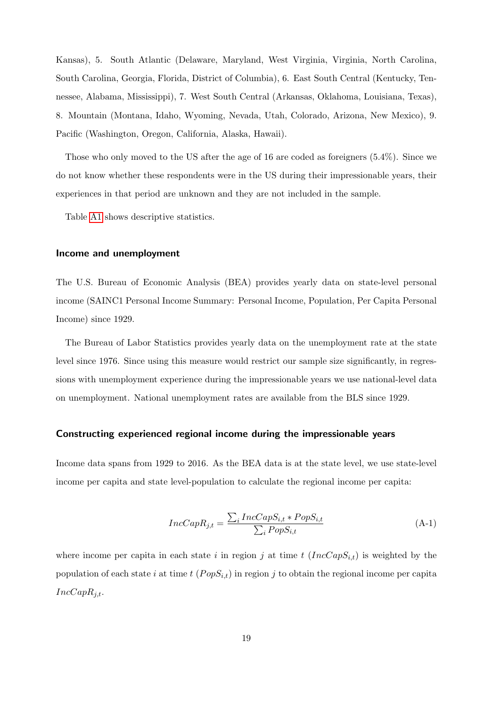Kansas), 5. South Atlantic (Delaware, Maryland, West Virginia, Virginia, North Carolina, South Carolina, Georgia, Florida, District of Columbia), 6. East South Central (Kentucky, Tennessee, Alabama, Mississippi), 7. West South Central (Arkansas, Oklahoma, Louisiana, Texas), 8. Mountain (Montana, Idaho, Wyoming, Nevada, Utah, Colorado, Arizona, New Mexico), 9. Pacific (Washington, Oregon, California, Alaska, Hawaii).

Those who only moved to the US after the age of 16 are coded as foreigners (5.4%). Since we do not know whether these respondents were in the US during their impressionable years, their experiences in that period are unknown and they are not included in the sample.

Table [A1](#page-9-0) shows descriptive statistics.

#### <span id="page-21-0"></span>Income and unemployment

The U.S. Bureau of Economic Analysis (BEA) provides yearly data on state-level personal income (SAINC1 Personal Income Summary: Personal Income, Population, Per Capita Personal Income) since 1929.

The Bureau of Labor Statistics provides yearly data on the unemployment rate at the state level since 1976. Since using this measure would restrict our sample size significantly, in regressions with unemployment experience during the impressionable years we use national-level data on unemployment. National unemployment rates are available from the BLS since 1929.

#### <span id="page-21-1"></span>Constructing experienced regional income during the impressionable years

Income data spans from 1929 to 2016. As the BEA data is at the state level, we use state-level income per capita and state level-population to calculate the regional income per capita:

$$
IncCapR_{j,t} = \frac{\sum_{i}IncCapS_{i,t} * PopS_{i,t}}{\sum_{i} PopS_{i,t}}
$$
\n(A-1)

where income per capita in each state i in region j at time t  $(IncCapS_{i,t})$  is weighted by the population of each state i at time t  $(PopS_{i,t})$  in region j to obtain the regional income per capita  $IncCapR_{i,t}.$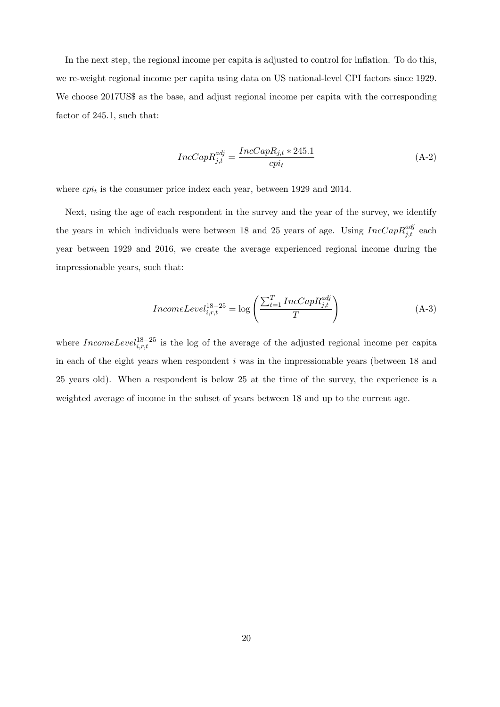In the next step, the regional income per capita is adjusted to control for inflation. To do this, we re-weight regional income per capita using data on US national-level CPI factors since 1929. We choose 2017US\$ as the base, and adjust regional income per capita with the corresponding factor of 245.1, such that:

$$
IncCapR_{j,t}^{adj} = \frac{IncCapR_{j,t} * 245.1}{epi_t}
$$
 (A-2)

where  $cpi_t$  is the consumer price index each year, between 1929 and 2014.

Next, using the age of each respondent in the survey and the year of the survey, we identify the years in which individuals were between 18 and 25 years of age. Using  $IncCapR_{j,t}^{adj}$  each year between 1929 and 2016, we create the average experienced regional income during the impressionable years, such that:

$$
IncomeLevel_{i,r,t}^{18-25} = \log\left(\frac{\sum_{t=1}^{T}IncCapR_{j,t}^{adj}}{T}\right)
$$
\n(A-3)

where  $IncomeLevel_{i,r,t}^{18-25}$  is the log of the average of the adjusted regional income per capita in each of the eight years when respondent  $i$  was in the impressionable years (between 18 and 25 years old). When a respondent is below 25 at the time of the survey, the experience is a weighted average of income in the subset of years between 18 and up to the current age.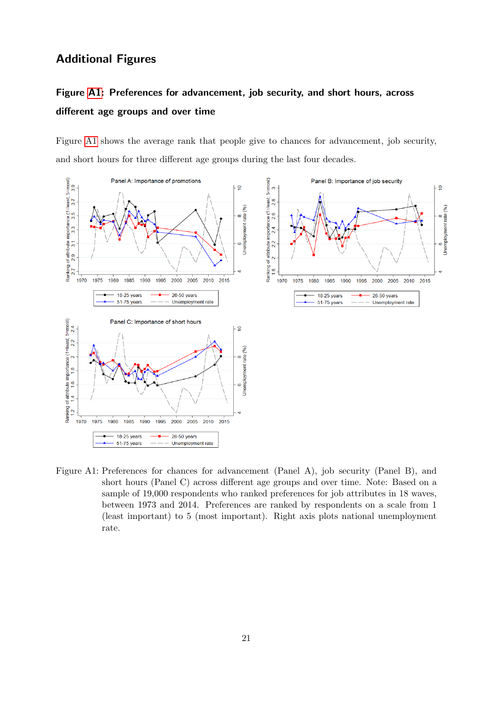## <span id="page-23-0"></span>Additional Figures

# <span id="page-23-1"></span>Figure [A1:](#page-6-0) Preferences for advancement, job security, and short hours, across different age groups and over time

Figure [A1](#page-6-0) shows the average rank that people give to chances for advancement, job security, and short hours for three different age groups during the last four decades.



Figure A1: Preferences for chances for advancement (Panel A), job security (Panel B), and short hours (Panel C) across different age groups and over time. Note: Based on a sample of 19,000 respondents who ranked preferences for job attributes in 18 waves, between 1973 and 2014. Preferences are ranked by respondents on a scale from 1 (least important) to 5 (most important). Right axis plots national unemployment rate.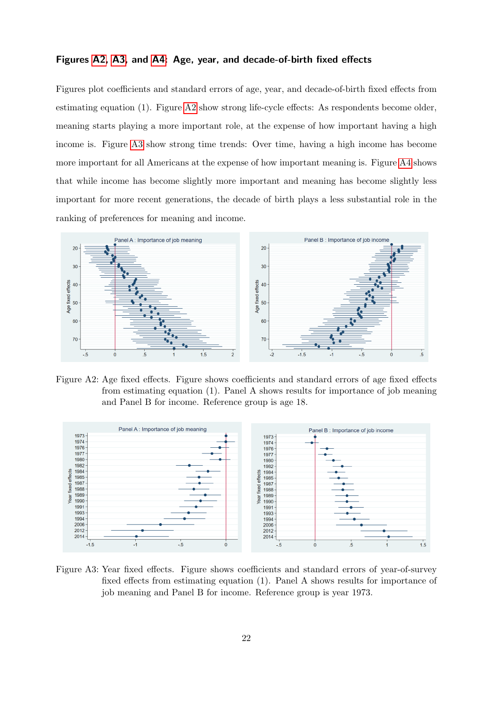#### <span id="page-24-2"></span>Figures [A2,](#page-24-0) [A3,](#page-24-1) and [A4:](#page-25-0) Age, year, and decade-of-birth fixed effects

Figures plot coefficients and standard errors of age, year, and decade-of-birth fixed effects from estimating equation (1). Figure [A2](#page-24-0) show strong life-cycle effects: As respondents become older, meaning starts playing a more important role, at the expense of how important having a high income is. Figure [A3](#page-24-1) show strong time trends: Over time, having a high income has become more important for all Americans at the expense of how important meaning is. Figure [A4](#page-25-0) shows that while income has become slightly more important and meaning has become slightly less important for more recent generations, the decade of birth plays a less substantial role in the ranking of preferences for meaning and income.



<span id="page-24-0"></span>Figure A2: Age fixed effects. Figure shows coefficients and standard errors of age fixed effects from estimating equation (1). Panel A shows results for importance of job meaning and Panel B for income. Reference group is age 18.



<span id="page-24-1"></span>Figure A3: Year fixed effects. Figure shows coefficients and standard errors of year-of-survey fixed effects from estimating equation (1). Panel A shows results for importance of job meaning and Panel B for income. Reference group is year 1973.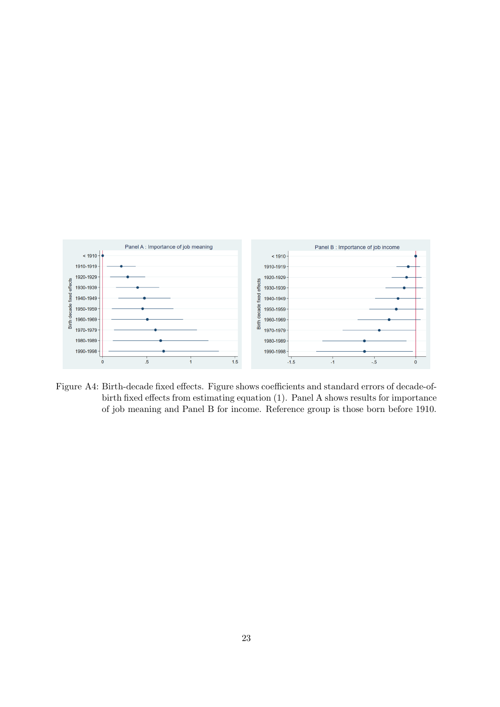

<span id="page-25-0"></span>Figure A4: Birth-decade fixed effects. Figure shows coefficients and standard errors of decade-ofbirth fixed effects from estimating equation (1). Panel A shows results for importance of job meaning and Panel B for income. Reference group is those born before 1910.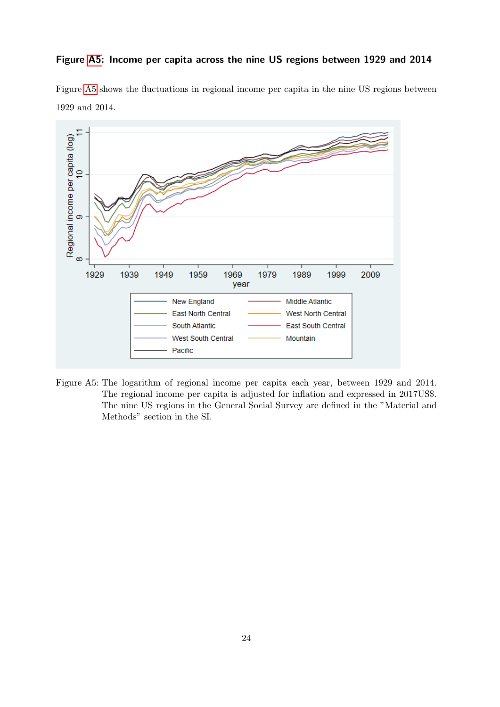#### <span id="page-26-1"></span>Figure [A5:](#page-26-0) Income per capita across the nine US regions between 1929 and 2014

Figure [A5](#page-26-0) shows the fluctuations in regional income per capita in the nine US regions between 1929 and 2014.



<span id="page-26-0"></span>Figure A5: The logarithm of regional income per capita each year, between 1929 and 2014. The regional income per capita is adjusted for inflation and expressed in 2017US\$. The nine US regions in the General Social Survey are defined in the "Material and Methods" section in the SI.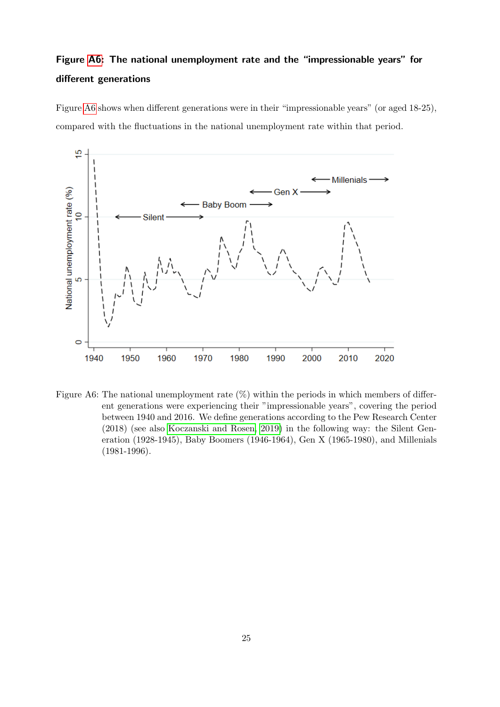# <span id="page-27-1"></span>Figure [A6:](#page-27-0) The national unemployment rate and the "impressionable years" for different generations

Figure [A6](#page-27-0) shows when different generations were in their "impressionable years" (or aged 18-25), compared with the fluctuations in the national unemployment rate within that period.



<span id="page-27-0"></span>Figure A6: The national unemployment rate  $(\%)$  within the periods in which members of different generations were experiencing their "impressionable years", covering the period between 1940 and 2016. We define generations according to the Pew Research Center (2018) (see also [Koczanski and Rosen, 2019\)](#page-15-4) in the following way: the Silent Generation (1928-1945), Baby Boomers (1946-1964), Gen X (1965-1980), and Millenials (1981-1996).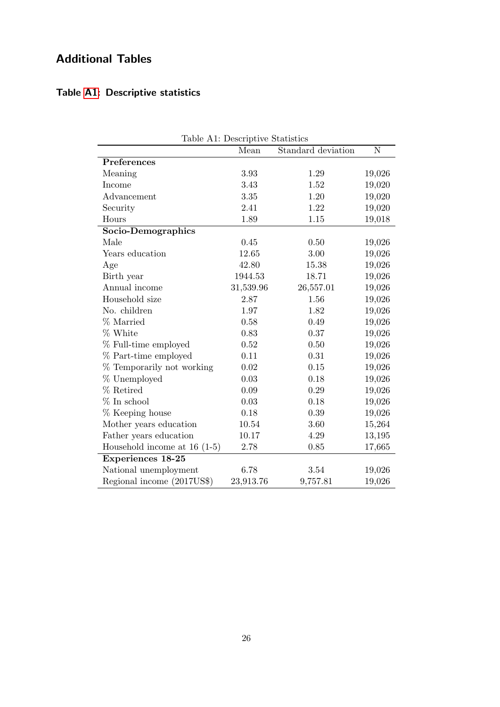# <span id="page-28-0"></span>Additional Tables

## <span id="page-28-1"></span>Table [A1:](#page-9-0) Descriptive statistics

| Table A1: Descriptive Statistics |           |                    |           |  |  |
|----------------------------------|-----------|--------------------|-----------|--|--|
|                                  | Mean      | Standard deviation | ${\bf N}$ |  |  |
| Preferences                      |           |                    |           |  |  |
| Meaning                          | 3.93      | 1.29               | 19,026    |  |  |
| Income                           | 3.43      | 1.52               | 19,020    |  |  |
| Advancement                      | 3.35      | 1.20               | 19,020    |  |  |
| Security                         | 2.41      | 1.22               | 19,020    |  |  |
| Hours                            | 1.89      | 1.15               | 19,018    |  |  |
| Socio-Demographics               |           |                    |           |  |  |
| Male                             | 0.45      | 0.50               | 19,026    |  |  |
| Years education                  | 12.65     | 3.00               | 19,026    |  |  |
| Age                              | 42.80     | 15.38              | 19,026    |  |  |
| Birth year                       | 1944.53   | 18.71              | 19,026    |  |  |
| Annual income                    | 31,539.96 | 26,557.01          | 19,026    |  |  |
| Household size                   | 2.87      | 1.56               | 19,026    |  |  |
| No. children                     | 1.97      | 1.82               | 19,026    |  |  |
| % Married                        | 0.58      | 0.49               | 19,026    |  |  |
| % White                          | 0.83      | 0.37               | 19,026    |  |  |
| % Full-time employed             | 0.52      | 0.50               | 19,026    |  |  |
| % Part-time employed             | 0.11      | 0.31               | 19,026    |  |  |
| % Temporarily not working        | 0.02      | 0.15               | 19,026    |  |  |
| % Unemployed                     | 0.03      | 0.18               | 19,026    |  |  |
| % Retired                        | 0.09      | 0.29               | 19,026    |  |  |
| $%$ In school                    | 0.03      | 0.18               | 19,026    |  |  |
| % Keeping house                  | 0.18      | 0.39               | 19,026    |  |  |
| Mother years education           | 10.54     | 3.60               | 15,264    |  |  |
| Father years education           | 10.17     | 4.29               | 13,195    |  |  |
| Household income at $16$ (1-5)   | 2.78      | 0.85               | 17,665    |  |  |
| <b>Experiences 18-25</b>         |           |                    |           |  |  |
| National unemployment            | 6.78      | 3.54               | 19,026    |  |  |
| Regional income (2017US\$)       | 23,913.76 | 9,757.81           | 19,026    |  |  |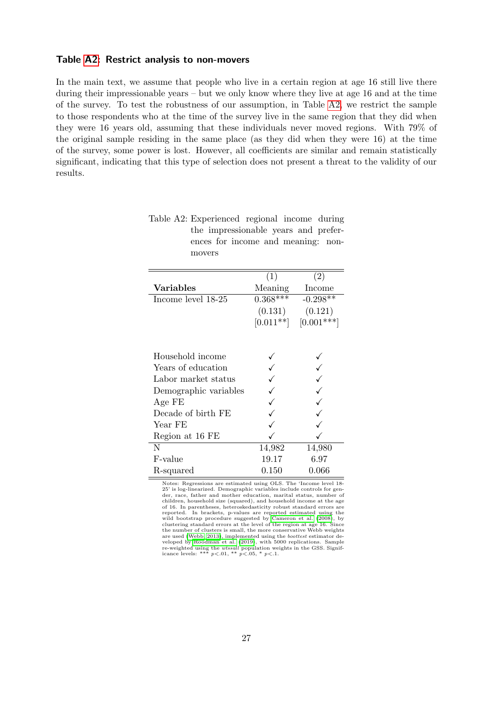#### <span id="page-29-0"></span>Table [A2:](#page-12-0) Restrict analysis to non-movers

In the main text, we assume that people who live in a certain region at age 16 still live there during their impressionable years – but we only know where they live at age 16 and at the time of the survey. To test the robustness of our assumption, in Table [A2,](#page-12-0) we restrict the sample to those respondents who at the time of the survey live in the same region that they did when they were 16 years old, assuming that these individuals never moved regions. With 79% of the original sample residing in the same place (as they did when they were 16) at the time of the survey, some power is lost. However, all coefficients are similar and remain statistically significant, indicating that this type of selection does not present a threat to the validity of our results.

|                       | (1)         | (2)          |
|-----------------------|-------------|--------------|
| <b>Variables</b>      | Meaning     | Income       |
| Income level 18-25    | $0.368***$  | $-0.298**$   |
|                       | (0.131)     | (0.121)      |
|                       | $[0.011**]$ | $[0.001***]$ |
|                       |             |              |
| Household income      |             |              |
| Years of education    |             |              |
| Labor market status   |             |              |
| Demographic variables |             |              |
| Age FE                |             |              |
| Decade of birth FE    |             |              |
| Year FE               |             |              |
| Region at 16 FE       |             |              |
| N                     | 14,982      | 14,980       |
| F-value               | 19.17       | 6.97         |
| R-squared             | $0.150\,$   | $0.066\,$    |

| Table A2: Experienced regional income during |                                      |  |  |  |  |
|----------------------------------------------|--------------------------------------|--|--|--|--|
|                                              | the impressionable years and prefer- |  |  |  |  |
|                                              | ences for income and meaning: non-   |  |  |  |  |
|                                              | movers                               |  |  |  |  |

Notes: Regressions are estimated using OLS. The 'Income level 18- 25' is log-linearized. Demographic variables include controls for gen-der, race, father and mother education, marital status, number of children, household size (squared), and household income at the age of 16. In parentheses, heteroskedasticity robust standard errors are reported. In brackets, p-values are reported estimated using the reported. In brackets, p-values are reported estimated using the wild bootstrap procedure suggested by [Cameron et al.](#page-14-10) [\(2008\)](#page-14-10), by clustering standard errors at the level of the region at age 16. Since the number of clusters is small, the more conservative Webb weights are used [\(Webb, 2013\)](#page-16-9), implemented using the boottest estimator de-veloped by [Roodman et al.](#page-16-10) [\(2019\)](#page-16-10), with 5000 replications. Sample re-weighted using the *wtssall* population weights in the GSS. Significance levels: \*\*\*  $p < 0.01$ , \*\*  $p < 0.05$ , \*  $p < 0.1$ .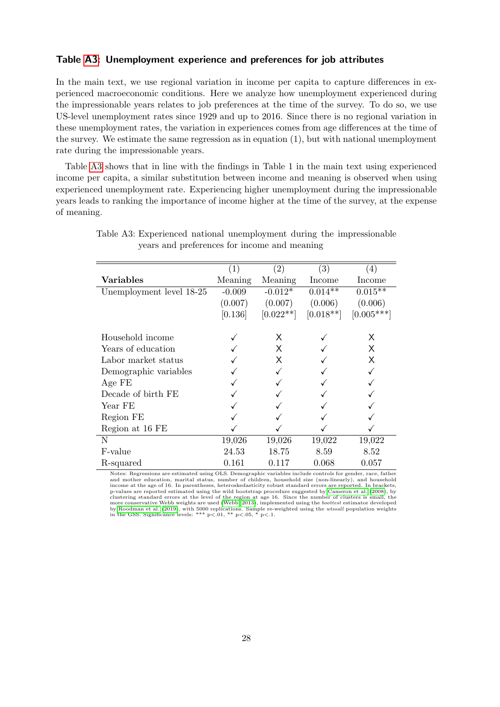#### <span id="page-30-1"></span>Table [A3:](#page-30-0) Unemployment experience and preferences for job attributes

In the main text, we use regional variation in income per capita to capture differences in experienced macroeconomic conditions. Here we analyze how unemployment experienced during the impressionable years relates to job preferences at the time of the survey. To do so, we use US-level unemployment rates since 1929 and up to 2016. Since there is no regional variation in these unemployment rates, the variation in experiences comes from age differences at the time of the survey. We estimate the same regression as in equation (1), but with national unemployment rate during the impressionable years.

Table [A3](#page-30-0) shows that in line with the findings in Table 1 in the main text using experienced income per capita, a similar substitution between income and meaning is observed when using experienced unemployment rate. Experiencing higher unemployment during the impressionable years leads to ranking the importance of income higher at the time of the survey, at the expense of meaning.

|                          | (1)      | (2)         | (3)         | $\left( 4\right)$ |
|--------------------------|----------|-------------|-------------|-------------------|
| Variables                | Meaning  | Meaning     | Income      | Income            |
| Unemployment level 18-25 | $-0.009$ | $-0.012*$   | $0.014**$   | $0.015**$         |
|                          | (0.007)  | (0.007)     | (0.006)     | (0.006)           |
|                          | [0.136]  | $[0.022**]$ | $[0.018**]$ | $[0.005***]$      |
| Household income         |          | X.          |             | X                 |
|                          |          |             |             |                   |
| Years of education       |          | X.          |             | X.                |
| Labor market status      |          | X           |             | X                 |
| Demographic variables    |          |             |             |                   |
| Age FE                   |          |             |             |                   |
| Decade of birth FE       |          |             |             |                   |
| Year FE                  |          |             |             |                   |
| Region FE                |          |             |             |                   |
| Region at 16 FE          |          |             |             |                   |
| N                        | 19,026   | 19,026      | 19,022      | 19,022            |
| F-value                  | 24.53    | 18.75       | 8.59        | 8.52              |
| R-squared                | 0.161    | 0.117       | 0.068       | 0.057             |

<span id="page-30-0"></span>Table A3: Experienced national unemployment during the impressionable years and preferences for income and meaning

Notes: Regressions are estimated using OLS. Demographic variables include controls for gender, race, father and mother education, marital status, number of children, household size (non-linearly), and household income at the age of 16. In parentheses, heteroskedasticity robust standard errors are reported. In brackets, p-values are reported estimated using the wild bootstrap procedure suggested by [Cameron et al.](#page-14-10) [\(2008\)](#page-14-10), by clustering standard errors at the level of the region at age 16. Since the number of clusters is small, the more co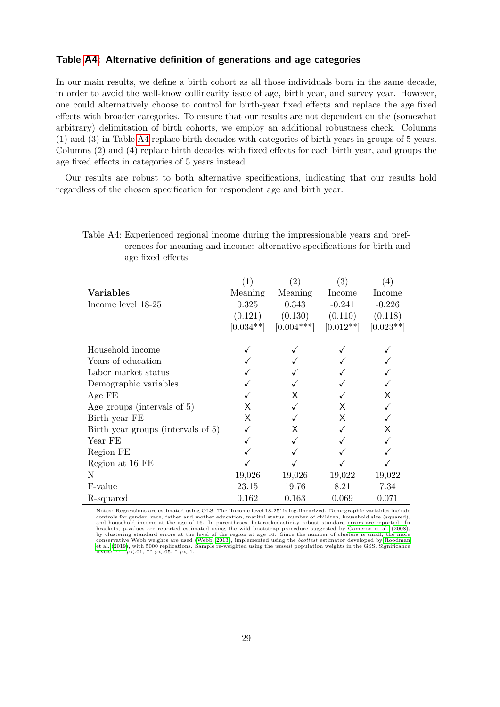#### <span id="page-31-1"></span>Table [A4:](#page-31-0) Alternative definition of generations and age categories

In our main results, we define a birth cohort as all those individuals born in the same decade, in order to avoid the well-know collinearity issue of age, birth year, and survey year. However, one could alternatively choose to control for birth-year fixed effects and replace the age fixed effects with broader categories. To ensure that our results are not dependent on the (somewhat arbitrary) delimitation of birth cohorts, we employ an additional robustness check. Columns (1) and (3) in Table [A4](#page-31-0) replace birth decades with categories of birth years in groups of 5 years. Columns (2) and (4) replace birth decades with fixed effects for each birth year, and groups the age fixed effects in categories of 5 years instead.

Our results are robust to both alternative specifications, indicating that our results hold regardless of the chosen specification for respondent age and birth year.

|                                    | $\left( 1\right)$ | (2)          | $\left( 3\right)$ | (4)         |
|------------------------------------|-------------------|--------------|-------------------|-------------|
| <b>Variables</b>                   | Meaning           | Meaning      | Income            | Income      |
| Income level 18-25                 | 0.325             | 0.343        | $-0.241$          | $-0.226$    |
|                                    | (0.121)           | (0.130)      | (0.110)           | (0.118)     |
|                                    | $[0.034**]$       | $[0.004***]$ | $[0.012**]$       | $[0.023**]$ |
| Household income                   |                   |              |                   |             |
| Years of education                 |                   |              |                   |             |
| Labor market status                |                   |              |                   |             |
| Demographic variables              |                   |              |                   |             |
| Age FE                             |                   | X            |                   | X           |
| Age groups (intervals of 5)        | х                 |              | X                 |             |
| Birth year FE                      | X                 |              | X                 |             |
| Birth year groups (intervals of 5) |                   | X            |                   | X           |
| Year FE                            |                   |              |                   |             |
| Region FE                          |                   |              |                   |             |
| Region at 16 FE                    |                   |              |                   |             |
| $\mathbf N$                        | 19,026            | 19,026       | 19,022            | 19,022      |
| F-value                            | 23.15             | 19.76        | 8.21              | 7.34        |
| R-squared                          | 0.162             | 0.163        | 0.069             | 0.071       |

<span id="page-31-0"></span>Table A4: Experienced regional income during the impressionable years and preferences for meaning and income: alternative specifications for birth and age fixed effects

Notes: Regressions are estimated using OLS. The 'Income level 18-25' is log-linearized. Demographic variables include controls for gender, race, father and mother education, marital status, number of children, household size (squared),<br>and household income at the age of 16. In parentheses, heteroskedasticity robust standard errors are rep by clustering standard errors at the level of the region at age 16. Since the number of clusters is small, the more conservative Webb weights are used [\(Webb, 2013\)](#page-16-9), implemented using the *boottest* estimator developed by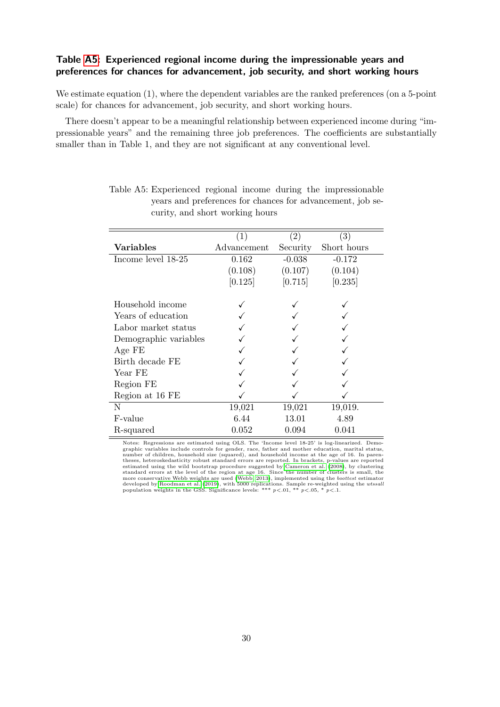### <span id="page-32-1"></span>Table [A5:](#page-32-0) Experienced regional income during the impressionable years and preferences for chances for advancement, job security, and short working hours

We estimate equation (1), where the dependent variables are the ranked preferences (on a 5-point scale) for chances for advancement, job security, and short working hours.

There doesn't appear to be a meaningful relationship between experienced income during "impressionable years" and the remaining three job preferences. The coefficients are substantially smaller than in Table 1, and they are not significant at any conventional level.

|                       | (1)         | (2)      | (3)         |
|-----------------------|-------------|----------|-------------|
| Variables             | Advancement | Security | Short hours |
| Income level 18-25    | 0.162       | $-0.038$ | $-0.172$    |
|                       | (0.108)     | (0.107)  | (0.104)     |
|                       | [0.125]     | [0.715]  | [0.235]     |
| Household income      |             |          |             |
| Years of education    |             |          |             |
| Labor market status   |             |          |             |
| Demographic variables |             |          |             |
| Age FE                |             |          |             |
| Birth decade FE       |             |          |             |
| Year FE               |             |          |             |
| Region FE             |             |          |             |
| Region at 16 FE       |             |          |             |
| N                     | 19,021      | 19,021   | 19,019.     |
| F-value               | 6.44        | 13.01    | 4.89        |
| R-squared             | 0.052       | 0.094    | 0.041       |

<span id="page-32-0"></span>

| Table A5: Experienced regional income during the impressionable |  |  |  |  |
|-----------------------------------------------------------------|--|--|--|--|
| years and preferences for chances for advancement, job se-      |  |  |  |  |
| curity, and short working hours                                 |  |  |  |  |

Notes: Regressions are estimated using OLS. The 'Income level 18-25' is log-linearized. Demographic variables include controls for gender, race, father and mother education, marital status, number of children, household size (squared), and household income at the age of 16. In paren-theses, heteroskedasticity robust standard errors are reported. In brackets, p-values are reported<br>estimated using the wild bootstrap procedure suggested by [Cameron et al.](#page-14-10) [\(2008\)](#page-14-10), by clustering<br>standard errors at the level developed by [Roodman et al.](#page-16-10) [\(2019\)](#page-16-10), with 5000 replications. Sample re-weighted using the *wtssali* population weights in the GSS. Significance levels: \*\*\*  $p\text{<.01}$ , \*\*  $p\text{<.05}$ , \*  $p\text{<.1}$ .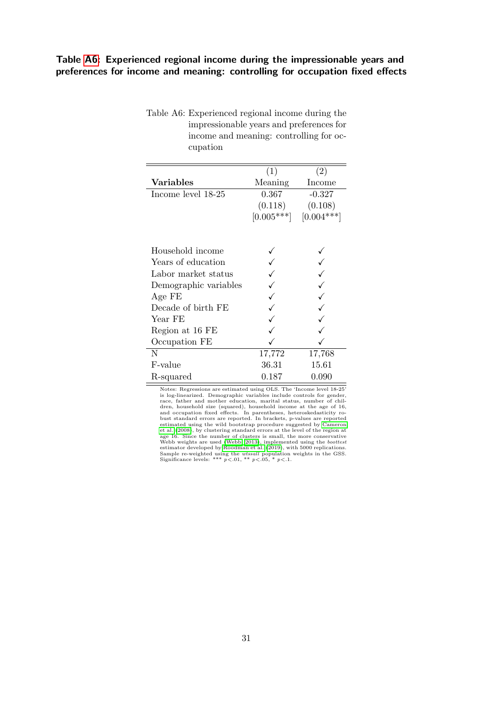### <span id="page-33-1"></span>Table [A6:](#page-33-0) Experienced regional income during the impressionable years and preferences for income and meaning: controlling for occupation fixed effects

<span id="page-33-0"></span>Table A6: Experienced regional income during the impressionable years and preferences for income and meaning: controlling for occupation

| (1)          | (2)          |
|--------------|--------------|
| Meaning      | Income       |
| 0.367        | $-0.327$     |
| (0.118)      | (0.108)      |
| $[0.005***]$ | $[0.004***]$ |
|              |              |
|              |              |
|              |              |
|              |              |
|              |              |
|              |              |
|              |              |
|              |              |
|              |              |
|              |              |
| 17,772       | 17,768       |
| 36.31        | 15.61        |
| 0.187        | 0.090        |
|              |              |

Notes: Regressions are estimated using OLS. The 'Income level 18-25' is log-linearized. Demographic variables include controls for gender, race, father and mother education, marital status, number of children, household size (squared), household income at the age of 16,<br>and occupation fixed effects. In parentheses, heteroskedasticity ro-<br>bust standard errors are reported. In brackets, p-values are reported<br>estimated using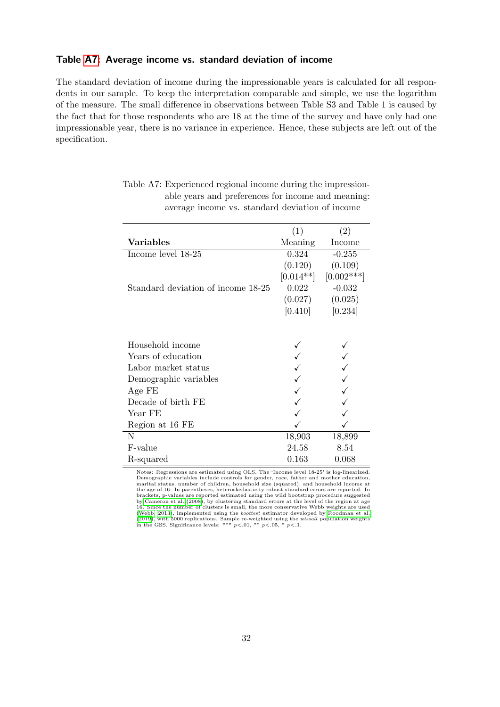#### <span id="page-34-1"></span>Table [A7:](#page-34-0) Average income vs. standard deviation of income

The standard deviation of income during the impressionable years is calculated for all respondents in our sample. To keep the interpretation comparable and simple, we use the logarithm of the measure. The small difference in observations between Table S3 and Table 1 is caused by the fact that for those respondents who are 18 at the time of the survey and have only had one impressionable year, there is no variance in experience. Hence, these subjects are left out of the specification.

|                                    | (1)         | (2)          |
|------------------------------------|-------------|--------------|
| Variables                          | Meaning     | Income       |
| Income level 18-25                 | 0.324       | $-0.255$     |
|                                    | (0.120)     | (0.109)      |
|                                    | $[0.014**]$ | $[0.002***]$ |
| Standard deviation of income 18-25 | 0.022       | $-0.032$     |
|                                    | (0.027)     | (0.025)      |
|                                    | [0.410]     | [0.234]      |
|                                    |             |              |
|                                    |             |              |
| Household income                   |             |              |
| Years of education                 |             |              |
| Labor market status                |             |              |
| Demographic variables              |             |              |
| Age FE                             |             |              |
| Decade of birth FE                 |             |              |
| Year FE                            |             |              |
| Region at 16 FE                    |             |              |
| N                                  | 18,903      | 18,899       |
| F-value                            | 24.58       | 8.54         |
| R-squared                          | 0.163       | 0.068        |

<span id="page-34-0"></span>Table A7: Experienced regional income during the impressionable years and preferences for income and meaning: average income vs. standard deviation of income

Notes: Regressions are estimated using OLS. The 'Income level 18-25' is log-linearized.<br>Demographic variables include controls for gender, race, father and mother education,<br>marital status, number of children, household si the age of 16. In parentheses, heteroskedasticity robust standard errors are reported. In brackets, p-values are reported estimated using the wild bootstrap procedure suggested<br>by [Cameron et al.](#page-14-10) [\(2008\)](#page-14-10), by clustering standard errors at the level of the region at age<br>16. Since the number of clusters is small, th [\(Webb, 2013\)](#page-16-9), implemented using the *boottest* estimator developed by [Roodman et al.](#page-16-10) [\(2019\)](#page-16-10), with 5000 replications. Sample re-weighted using the *wtssall* population weights in the GSS. Significance levels: \*\*\*  $p < 0.01$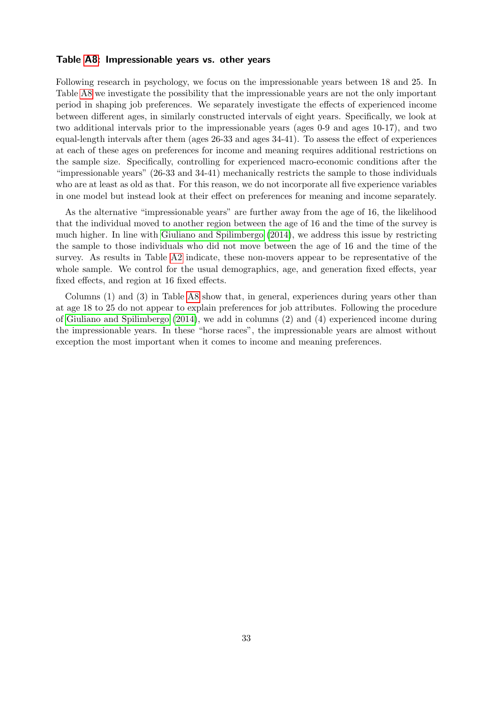#### <span id="page-35-0"></span>Table [A8:](#page-36-0) Impressionable years vs. other years

Following research in psychology, we focus on the impressionable years between 18 and 25. In Table [A8](#page-36-0) we investigate the possibility that the impressionable years are not the only important period in shaping job preferences. We separately investigate the effects of experienced income between different ages, in similarly constructed intervals of eight years. Specifically, we look at two additional intervals prior to the impressionable years (ages 0-9 and ages 10-17), and two equal-length intervals after them (ages 26-33 and ages 34-41). To assess the effect of experiences at each of these ages on preferences for income and meaning requires additional restrictions on the sample size. Specifically, controlling for experienced macro-economic conditions after the "impressionable years" (26-33 and 34-41) mechanically restricts the sample to those individuals who are at least as old as that. For this reason, we do not incorporate all five experience variables in one model but instead look at their effect on preferences for meaning and income separately.

As the alternative "impressionable years" are further away from the age of 16, the likelihood that the individual moved to another region between the age of 16 and the time of the survey is much higher. In line with [Giuliano and Spilimbergo](#page-15-7) [\(2014\)](#page-15-7), we address this issue by restricting the sample to those individuals who did not move between the age of 16 and the time of the survey. As results in Table [A2](#page-12-0) indicate, these non-movers appear to be representative of the whole sample. We control for the usual demographics, age, and generation fixed effects, year fixed effects, and region at 16 fixed effects.

Columns (1) and (3) in Table [A8](#page-36-0) show that, in general, experiences during years other than at age 18 to 25 do not appear to explain preferences for job attributes. Following the procedure of [Giuliano and Spilimbergo](#page-15-7) [\(2014\)](#page-15-7), we add in columns (2) and (4) experienced income during the impressionable years. In these "horse races", the impressionable years are almost without exception the most important when it comes to income and meaning preferences.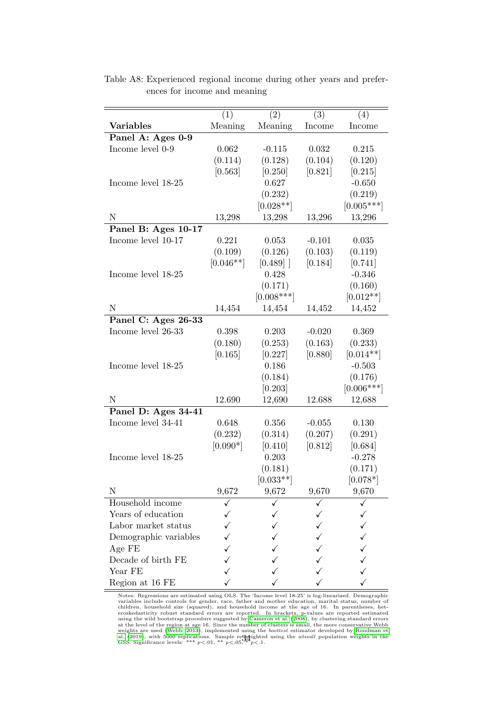|                       | (1)         | (2)          | $\overline{(3)}$ | (4)          |
|-----------------------|-------------|--------------|------------------|--------------|
| <b>Variables</b>      | Meaning     | Meaning      | Income           | Income       |
| Panel A: Ages 0-9     |             |              |                  |              |
| Income level 0-9      | 0.062       | $-0.115$     | 0.032            | 0.215        |
|                       | (0.114)     | (0.128)      | (0.104)          | (0.120)      |
|                       | [0.563]     | [0.250]      | [0.821]          | [0.215]      |
| Income level 18-25    |             | 0.627        |                  | $-0.650$     |
|                       |             | (0.232)      |                  | (0.219)      |
|                       |             | $[0.028**]$  |                  | $[0.005***]$ |
| $\mathbf N$           | 13,298      | 13,298       | 13,296           | 13,296       |
| Panel B: Ages 10-17   |             |              |                  |              |
| Income level 10-17    | 0.221       | 0.053        | $-0.101$         | 0.035        |
|                       | (0.109)     | (0.126)      | (0.103)          | (0.119)      |
|                       | $[0.046**]$ | [0.489]      | [0.184]          | [0.741]      |
| Income level 18-25    |             | 0.428        |                  | $-0.346$     |
|                       |             | (0.171)      |                  | (0.160)      |
|                       |             | $[0.008***]$ |                  | $[0.012**]$  |
| $\mathbf N$           | 14,454      | 14,454       | 14,452           | 14,452       |
| Panel C: Ages 26-33   |             |              |                  |              |
| Income level 26-33    | 0.398       | 0.203        | $-0.020$         | 0.369        |
|                       | (0.180)     | (0.253)      | (0.163)          | (0.233)      |
|                       | [0.165]     | [0.227]      | [0.880]          | $[0.014**]$  |
| Income level 18-25    |             | 0.186        |                  | $-0.503$     |
|                       |             | (0.184)      |                  | (0.176)      |
|                       |             | [0.203]      |                  | $[0.006***]$ |
| N                     | 12.690      | 12,690       | 12.688           | 12,688       |
| Panel D: Ages 34-41   |             |              |                  |              |
| Income level 34-41    | 0.648       | 0.356        | $-0.055$         | 0.130        |
|                       | (0.232)     | (0.314)      | (0.207)          | (0.291)      |
|                       | $[0.090*]$  | [0.410]      | [0.812]          | [0.684]      |
| Income level 18-25    |             | 0.203        |                  | $-0.278$     |
|                       |             | (0.181)      |                  | (0.171)      |
|                       |             | $[0.033**]$  |                  | $[0.078*]$   |
| N                     | 9,672       | 9,672        | 9,670            | 9,670        |
| Household income      |             |              |                  |              |
| Years of education    |             |              |                  |              |
| Labor market status   |             |              |                  |              |
| Demographic variables |             |              |                  |              |
| Age FE                |             |              |                  |              |
| Decade of birth FE    |             |              |                  |              |
| Year FE               |             |              |                  |              |
| Region at 16 FE       |             |              |                  |              |

<span id="page-36-0"></span>Table A8: Experienced regional income during other years and preferences for income and meaning

Notes: Regressions are estimated using OLS. The 'Income level 18-25' is log-linearized. Demographic<br>variables include controls for gender, race, father and mother education, marital status, number of<br>children, household s